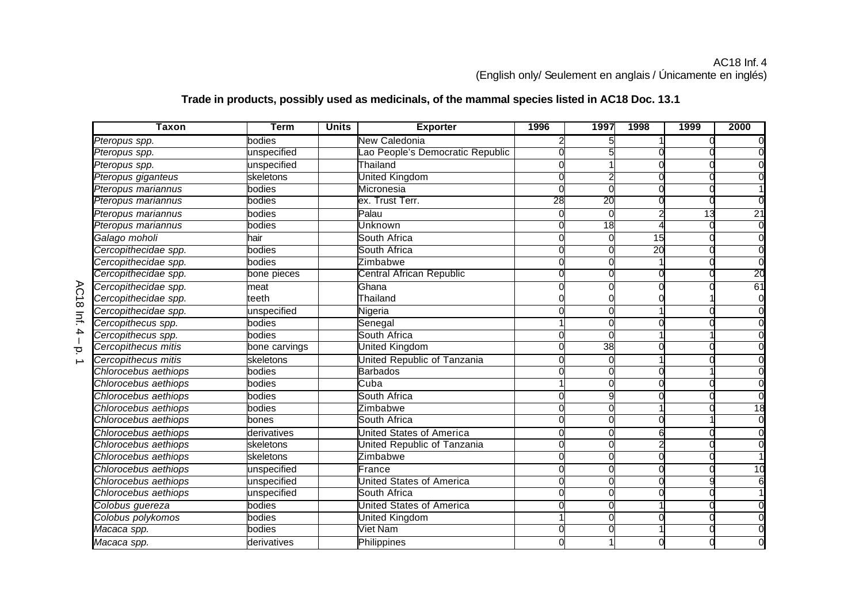## AC18 Inf. 4 (English only/ Seulement en anglais / Únicamente en inglés)

## $\sigma$ **Taxon Term Units Exporter 1996 1997 1998 1999 2000** *Pteropus spp.* bodies New Caledonia 2 5 1 0 0 Pteropus spp. **Exercice Contains a Container Container Container Container Container Container Container Container** *Pteropus spp.* unspecified Thailand 0 1 0 0 0 *Pteropus giganteus* skeletons United Kingdom 0 2 0 0 0 *Pteropus mariannus* bodies Micronesia 0 0 0 0 1 **Pteropus mariannus community of the community of the community of the community of the community of the community** *Pteropus mariannus* bodies Palau 0 0 2 13 21 *Pteropus mariannus* bodies Unknown 0 18 4 0 0 *Galago moholi* hair South Africa 0 0 15 0 0 *Cercopithecidae spp.* **bodies Transformation Cercopithecidae spp.** 20 **Cercopithecidae spp. The computation of the computation of the computation of the computation of the computation of computation of computation of computation of computation of computation of computation of computation of Cercopithecidae spp. bone pieces Central African Republic 1** 0 0 0 0 0 0 20 *Cercopithecidae spp.* meat Ghana 0 0 0 0 61 *Cercopithecidae spp.* teeth Thailand 0 0 0 1 0 *Cercopithecidae spp.* unspecified Nigeria 0 0 1 0 0 *Cercopithecus spp.* **Show** bodies **Senegal** 1 0 0 0 0 *Cercopithecus spp.* bodies South Africa 0 0 1 1 0 **Cercopithecus mitis** bone carvings **United Kingdom** 1 0 38 0 **Cercopithecus mitis** skeletons Nunited Republic of Tanzania Nuncul Community Community Community Community Commun **Chlorocebus aethiops** bodies **bodies Barbados Chlorocebus aethiops 0** 0 0 0 0 *Chlorocebus aethiops* bodies Cuba 1 0 0 0 0 *Chlorocebus aethiops* bodies **bodies** South Africa **1** 0 9 0 *Chlorocebus aethiops* bodies Zimbabwe 0 0 1 0 18 **Chlorocebus aethiops** bones **bones** South Africa **1** 0 0 0 0 *Chlorocebus aethiops* derivatives and derivatives and the United States of America and D<sub>0</sub> 0 0 0 0 6 **Chlorocebus aethiops** skeletons **Skeletons United Republic of Tanzania** 1 *Chlorocebus aethiops* skeletons skeletons zimbabwe 1 0 0 0 0 *Chlorocebus aethiops* unspecified France 0 0 0 0 10 *Chlorocebus aethiops* **unspecified Community Christian Community Christian Community Community Community Community** *Chlorocebus aethiops* **unspecified** South Africa **1 0 0 0 1** *Colobus guereza* bodies United States of America 0 0 1 0 0 *Colobus polykomos* bodies United Kingdom 1 0 0 0 0 *Macaca spp.* bodies Viet Nam 0 0 1 0 0 *Macaca spp.* derivatives Philippines 0 1 0 0 0

## **Trade in products, possibly used as medicinals, of the mammal species listed in AC18 Doc. 13.1**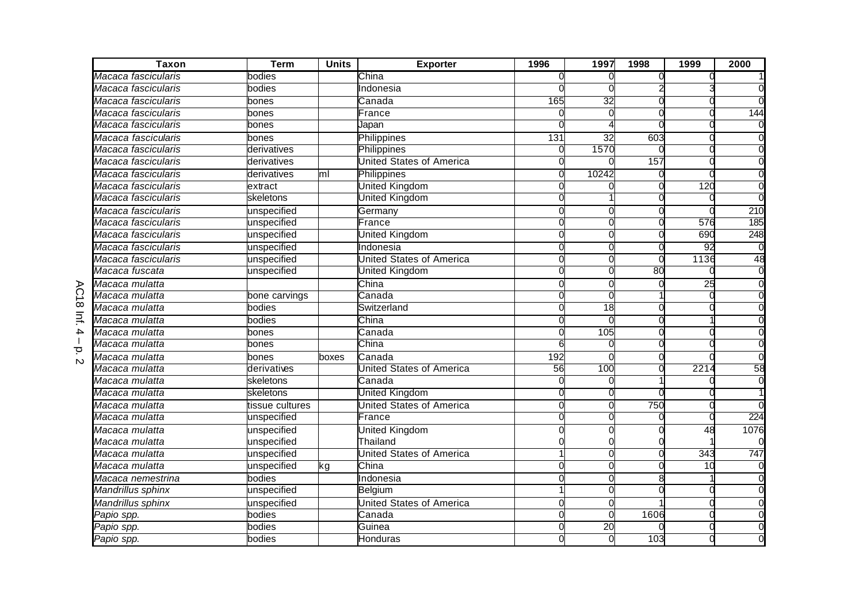| <b>Taxon</b>           | <b>Term</b>     | <b>Units</b> | <b>Exporter</b>                 | 1996         | 1997            | 1998 | 1999            | 2000           |
|------------------------|-----------------|--------------|---------------------------------|--------------|-----------------|------|-----------------|----------------|
| Macaca fascicularis    | bodies          |              | China                           | O            |                 |      |                 |                |
| Macaca fascicularis    | bodies          |              | Indonesia                       |              |                 |      |                 |                |
| Macaca fascicularis    | bones           |              | Canada                          | 165          | 32              |      |                 |                |
| Macaca fascicularis    | bones           |              | France                          | 0            |                 |      |                 | 144            |
| Macaca fascicularis    | bones           |              | <b>J</b> apan                   | ∩            |                 |      |                 |                |
| Macaca fascicularis    | bones           |              | Philippines                     | 131          | $\overline{32}$ | 603  |                 |                |
| Macaca fascicularis    | derivatives     |              | Philippines                     | $\Omega$     | 1570            |      |                 |                |
| Macaca fascicularis    | derivatives     |              | United States of America        | $\Omega$     |                 | 157  |                 |                |
| Macaca fascicularis    | derivatives     | ml           | Philippines                     | 0            | 10242           |      |                 |                |
| Macaca fascicularis    | extract         |              | United Kingdom                  | 0            |                 |      | 120             |                |
| Macaca fascicularis    | skeletons       |              | United Kingdom                  |              |                 |      |                 |                |
| Macaca fascicularis    | unspecified     |              | Germany                         | 0            |                 |      |                 | 210            |
| Macaca fascicularis    | unspecified     |              | France                          | $\Omega$     |                 |      | 576             | 185            |
| Macaca fascicularis    | unspecified     |              | <b>United Kingdom</b>           | $\Omega$     |                 |      | 690             | 248            |
| Macaca fascicularis    | unspecified     |              | Indonesia                       | $\Omega$     |                 | U    | $\overline{92}$ | $\overline{0}$ |
| Macaca fascicularis    | unspecified     |              | United States of America        | $\Omega$     |                 |      | 1136            | 48             |
| Macaca fuscata         | unspecified     |              | United Kingdom                  |              |                 | 80   |                 |                |
| Macaca mulatta         |                 |              | China                           | 0            |                 |      | $\overline{25}$ |                |
| Macaca mulatta         | bone carvings   |              | Canada                          |              |                 |      |                 |                |
| Macaca mulatta         | bodies          |              | Switzerland                     | $\Omega$     | $\overline{18}$ |      |                 |                |
| Macaca mulatta         | bodies          |              | China                           | ∩            |                 |      |                 |                |
| Macaca mulatta         | bones           |              | Canada                          | $\Omega$     | 105             |      |                 |                |
| Macaca mulatta         | bones           |              | China                           | 6            |                 |      |                 |                |
| Macaca mulatta<br>N    | bones           | boxes        | Canada                          | 192          |                 |      |                 |                |
| Macaca mulatta         | derivatives     |              | <b>United States of America</b> | 56           | 100             |      | 2214            | 58             |
| Macaca mulatta         | skeletons       |              | Canada                          | 0            |                 |      |                 |                |
| Macaca mulatta         | skeletons       |              | United Kingdom                  | <sup>o</sup> |                 |      |                 |                |
| Macaca mulatta         | tissue cultures |              | United States of America        | $\Omega$     |                 | 750  |                 |                |
| Macaca mulatta         | unspecified     |              | France                          | <sup>o</sup> |                 |      |                 | 224            |
| Macaca mulatta         | unspecified     |              | <b>United Kingdom</b>           |              |                 |      | $\overline{48}$ | 1076           |
| Macaca mulatta         | unspecified     |              | Thailand                        |              |                 |      |                 |                |
| Macaca mulatta         | unspecified     |              | <b>United States of America</b> |              |                 |      | 343             | 747            |
| Macaca mulatta         | unspecified     | kg           | China                           | U            |                 |      | 10              |                |
| Macaca nemestrina      | bodies          |              | Indonesia                       |              |                 |      |                 |                |
| Mandrillus sphinx      | unspecified     |              | <b>Belgium</b>                  |              |                 |      |                 |                |
| Mandrillus sphinx      | unspecified     |              | United States of America        | <sup>o</sup> |                 |      |                 |                |
| <sup>⊃</sup> apio spp. | bodies          |              | Canada                          | $\Omega$     |                 | 1606 |                 |                |
| Papio spp.             | bodies          |              | <b>G</b> uinea                  | $\Omega$     | 20              |      |                 |                |
| Papio spp.             | bodies          |              | Honduras                        |              |                 | 103  |                 |                |

 –<br>ب<br>70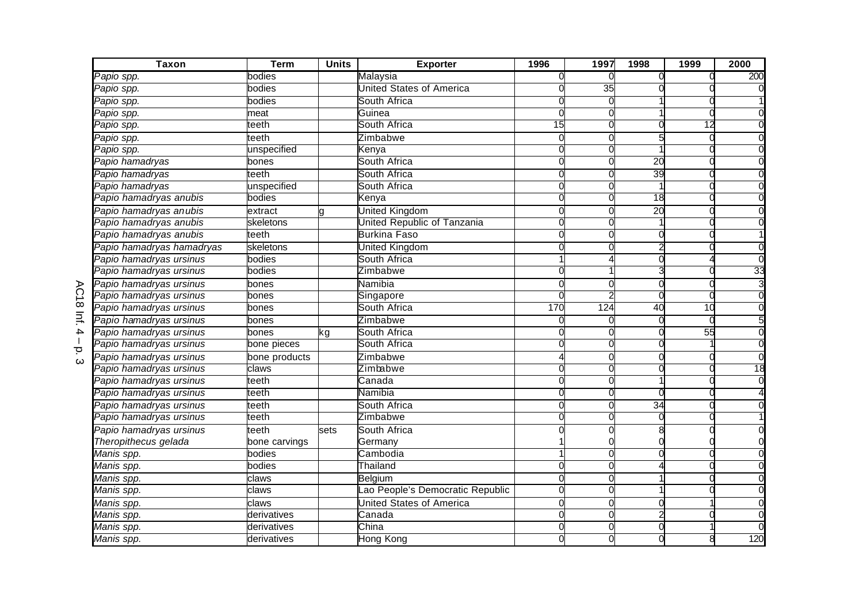|                         | <b>Taxon</b>              | <b>Term</b>   | <b>Units</b> | <b>Exporter</b>                 | 1996         | 1997 | 1998            | 1999            | 2000 |
|-------------------------|---------------------------|---------------|--------------|---------------------------------|--------------|------|-----------------|-----------------|------|
|                         | Papio spp.                | bodies        |              | Malaysia                        |              |      |                 |                 | 200  |
|                         | Papio spp.                | bodies        |              | <b>United States of America</b> |              | 35   |                 |                 |      |
|                         | Papio spp.                | bodies        |              | South Africa                    | 0            |      |                 |                 |      |
|                         | Papio spp.                | meat          |              | Guinea                          | 0            |      |                 |                 |      |
|                         | <sup>⊃</sup> apio spp.    | teeth         |              | South Africa                    | 15           |      |                 | 12              |      |
|                         | Papio spp.                | teeth         |              | Zimbabwe                        | $\Omega$     |      |                 |                 |      |
|                         | Papio spp.                | unspecified   |              | Kenva                           |              |      |                 |                 |      |
|                         | Papio hamadryas           | bones         |              | South Africa                    |              |      | $\overline{20}$ |                 |      |
|                         | Papio hamadryas           | teeth         |              | South Africa                    |              |      | 39              |                 |      |
|                         | Papio hamadryas           | unspecified   |              | South Africa                    |              |      |                 |                 |      |
|                         | Papio hamadryas anubis    | bodies        |              | Kenya                           |              |      | 18              |                 |      |
|                         | Papio hamadryas anubis    | extract       |              | United Kingdom                  | $\Omega$     |      | $\overline{20}$ |                 |      |
|                         | Papio hamadryas anubis    | skeletons     |              | United Republic of Tanzania     | $\Omega$     |      |                 |                 |      |
|                         | Papio hamadryas anubis    | teeth         |              | <b>Burkina Faso</b>             | $\Omega$     |      |                 |                 |      |
|                         | Papio hamadryas hamadryas | skeletons     |              | United Kingdom                  | $\Omega$     |      |                 |                 |      |
|                         | Papio hamadryas ursinus   | bodies        |              | South Africa                    |              |      |                 |                 |      |
|                         | Papio hamadryas ursinus   | bodies        |              | Zimbabwe                        |              |      |                 |                 | 33   |
|                         | Papio hamadryas ursinus   | bones         |              | Namibia                         | $\Omega$     |      |                 |                 |      |
| ဂ<br>$\frac{1}{\infty}$ | Papio hamadryas ursinus   | bones         |              | Singapore                       |              |      |                 |                 |      |
|                         | Papio hamadryas ursinus   | bones         |              | South Africa                    | 170          | 124  | 40              | 10              |      |
| $\equiv$                | Papio hamadryas ursinus   | bones         |              | Zimbabwe                        |              |      |                 |                 |      |
| 4                       | Papio hamadryas ursinus   | bones         | kg           | South Africa                    | 0            |      |                 | $\overline{55}$ |      |
| $\overline{\mathbf{C}}$ | Papio hamadryas ursinus   | bone pieces   |              | South Africa                    |              |      |                 |                 |      |
| ω                       | Papio hamadryas ursinus   | bone products |              | Zimbabwe                        |              |      |                 |                 |      |
|                         | Papio hamadryas ursinus   | claws         |              | Zimbabwe                        |              |      |                 |                 | 18   |
|                         | Papio hamadryas ursinus   | teeth         |              | Canada                          | $\Omega$     |      |                 |                 |      |
|                         | Papio hamadryas ursinus   | teeth         |              | Namibia                         | <sup>o</sup> |      |                 |                 |      |
|                         | Papio hamadryas ursinus   | teeth         |              | South Africa                    | $\Omega$     |      | 34              |                 |      |
|                         | Papio hamadryas ursinus   | teeth         |              | Zimbabwe                        |              |      | ∩               |                 |      |
|                         | Papio hamadryas ursinus   | teeth         | sets         | South Africa                    |              |      |                 |                 |      |
|                         | Theropithecus gelada      | bone carvings |              | Germany                         |              |      |                 |                 |      |
|                         | Manis spp.                | bodies        |              | Cambodia                        |              |      |                 |                 |      |
|                         | Manis spp.                | bodies        |              | Thailand                        | 0            |      |                 |                 |      |
|                         | Manis spp.                | claws         |              | Belgium                         | $\Omega$     |      |                 |                 |      |
|                         | Manis spp.                | claws         |              | ao People's Democratic Republic | $\Omega$     |      |                 |                 |      |
|                         | Manis spp.                | claws         |              | United States of America        | <sup>o</sup> |      |                 |                 |      |
|                         | Manis spp.                | derivatives   |              | Canada                          | $\Omega$     |      |                 |                 |      |
|                         | Manis spp.                | derivatives   |              | China                           | 0            |      |                 |                 |      |
|                         | Manis spp.                | derivatives   |              | Hong Kong                       |              |      |                 |                 | 120  |

 –<br>بت<br>ن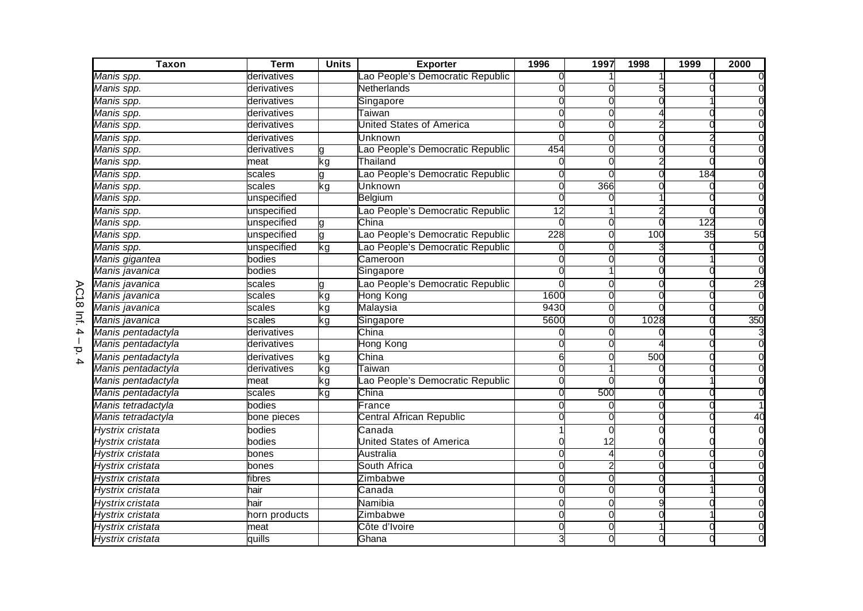| <b>Taxon</b>       | <b>Term</b>   | <b>Units</b> | <b>Exporter</b>                  | 1996                        | 1997 | 1998 | 1999 | 2000 |
|--------------------|---------------|--------------|----------------------------------|-----------------------------|------|------|------|------|
| Manis spp.         | derivatives   |              | ao People's Democratic Republic  |                             |      |      |      |      |
| Manis spp.         | derivatives   |              | Netherlands                      |                             |      |      |      |      |
| Manis spp.         | derivatives   |              | Singapore                        | ſ                           |      |      |      |      |
| Manis spp.         | derivatives   |              | Taiwan                           |                             |      |      |      |      |
| Manis spp.         | derivatives   |              | <b>United States of America</b>  |                             |      |      |      |      |
| Manis spp.         | derivatives   |              | <b>Unknown</b>                   |                             |      |      |      |      |
| Manis spp.         | derivatives   |              | ao People's Democratic Republic  | 454                         |      |      |      |      |
| Manis spp.         | meat          | kg           | Thailand                         |                             |      |      |      |      |
| Manis spp.         | scales        |              | ao People's Democratic Republic  |                             |      |      | 184  |      |
| Manis spp.         | scales        | kg           | Unknown                          | $\mathcal{C}$               | 366  |      |      |      |
| Manis spp.         | unspecified   |              | Belgium                          |                             |      |      |      |      |
| Manis spp.         | unspecified   |              | Lao People's Democratic Republic | $\overline{12}$             |      |      |      |      |
| Manis spp.         | unspecified   | g            | China                            |                             |      |      | 122  |      |
| Manis spp.         | unspecified   | g            | ao People's Democratic Republic  | 228                         |      | 100  | 35   | 50   |
| Manis spp.         | unspecified   | kg           | ao People's Democratic Republic  | 0                           |      |      |      |      |
| Manis gigantea     | bodies        |              | Cameroon                         |                             |      |      |      |      |
| Manis javanica     | bodies        |              | Singapore                        |                             |      |      |      |      |
| Manis javanica     | scales        |              | Lao People's Democratic Republic |                             |      |      |      | 29   |
| Manis javanica     | scales        | kg           | Hong Kong                        | 1600                        |      |      |      |      |
| Manis javanica     | scales        | kg           | Malaysia                         | 9430                        |      |      |      |      |
| Manis javanica     | scales        | kg           | Singapore                        | 5600                        |      | 1028 |      | 350  |
| Manis pentadactyla | derivatives   |              | China                            |                             |      |      |      |      |
| Manis pentadactyla | derivatives   |              | Hong Kong                        |                             |      |      |      |      |
| Manis pentadactyla | derivatives   | kg           | China                            |                             |      | 500  |      |      |
| Manis pentadactyla | derivatives   | kg           | ⊺aiwan                           |                             |      |      |      |      |
| Manis pentadactyla | meat          | kg           | ao People's Democratic Republic  | $\Omega$                    |      |      |      |      |
| Manis pentadactyla | scales        | kg           | China                            |                             | 500  |      |      |      |
| Manis tetradactyla | bodies        |              | France                           | ſ                           |      |      |      |      |
| Manis tetradactyla | bone pieces   |              | Central African Republic         |                             |      |      |      | 40   |
| Hystrix cristata   | bodies        |              | Canada                           |                             |      |      |      |      |
| Hystrix cristata   | bodies        |              | <b>United States of America</b>  |                             | 12   |      |      |      |
| Hystrix cristata   | bones         |              | Australia                        | $\mathcal{C}_{\mathcal{C}}$ |      |      |      |      |
| Hystrix cristata   | bones         |              | South Africa                     | $\mathcal{C}$               |      |      |      |      |
| Hystrix cristata   | fibres        |              | Zimbabwe                         |                             |      |      |      |      |
| Hystrix cristata   | hair          |              | Canada                           |                             |      |      |      |      |
| Hystrix cristata   | hair          |              | Namibia                          | ſ                           |      |      |      |      |
| Hystrix cristata   | horn products |              | Zimbabwe                         | ſ                           |      |      |      |      |
| Hystrix cristata   | meat          |              | Côte d'Ivoire                    |                             |      |      |      |      |
| Hystrix cristata   | quills        |              | Ghana                            |                             |      |      |      |      |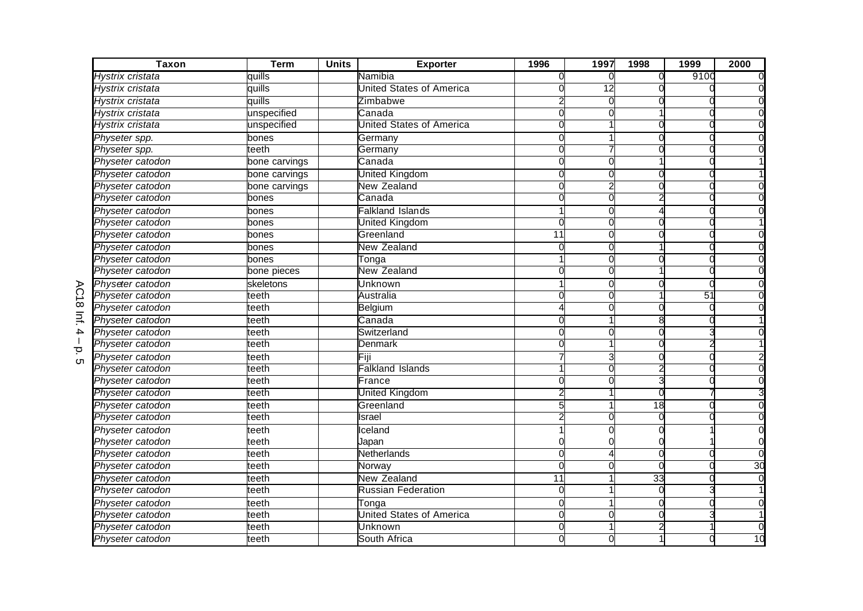| <b>Taxon</b>                                | <b>Term</b>   | <b>Units</b> | <b>Exporter</b>                 | 1996         | 1997 | 1998            | 1999 | 2000 |
|---------------------------------------------|---------------|--------------|---------------------------------|--------------|------|-----------------|------|------|
| Hystrix cristata                            | quills        |              | Namibia                         | O            |      | $\Omega$        | 9100 |      |
| Hystrix cristata                            | quills        |              | <b>United States of America</b> |              | 12   |                 |      |      |
| Hystrix cristata                            | quills        |              | Zimbabwe                        |              |      |                 |      |      |
| Hystrix cristata                            | unspecified   |              | Canada                          |              |      |                 |      |      |
| Hystrix cristata                            | unspecified   |              | United States of America        | റ            |      |                 |      |      |
| Physeter spp.                               | bones         |              | Germany                         | ∩            |      |                 |      |      |
| Physeter spp.                               | teeth         |              | Germany                         | U            |      |                 |      |      |
| Physeter catodon                            | bone carvings |              | Canada                          |              |      |                 |      |      |
| Physeter catodon                            | bone carvings |              | United Kingdom                  |              |      |                 |      |      |
| Physeter catodon                            | bone carvings |              | New Zealand                     | 0            |      |                 |      |      |
| Physeter catodon                            | bones         |              | Canada                          |              |      |                 |      |      |
| Physeter catodon                            | bones         |              | Falkland Islands                |              |      |                 |      |      |
| Physeter catodon                            | bones         |              | United Kingdom                  | $\Omega$     |      |                 |      |      |
| Physeter catodon                            | bones         |              | Greenland                       | 11           |      |                 |      |      |
| Physeter catodon                            | bones         |              | New Zealand                     | $\Omega$     |      |                 |      |      |
| Physeter catodon                            | bones         |              | Tonga                           |              |      |                 |      |      |
| Physeter catodon                            | bone pieces   |              | New Zealand                     |              |      |                 |      |      |
| Physeter catodon                            | skeletons     |              | Unknown                         |              |      |                 |      |      |
| ဂ<br>Physeter catodon<br>$\frac{1}{\infty}$ | teeth         |              | Australia                       |              |      |                 | 51   |      |
| Physeter catodon                            | teeth         |              | Belgium                         | Δ            |      |                 |      |      |
| $\equiv$<br>Physeter catodon                | teeth         |              | Canada                          |              |      |                 |      |      |
| 4<br>Physeter catodon                       | teeth         |              | Switzerland                     | 0            |      |                 |      |      |
| Physeter catodon<br>$\overline{\mathbf{C}}$ | teeth         |              | <b>Denmark</b>                  |              |      |                 |      |      |
| Physeter catodon<br>cл                      | teeth         |              | Fiji                            |              |      |                 |      |      |
| Physeter catodon                            | teeth         |              | Falkland Islands                |              |      |                 |      |      |
| Physeter catodon                            | teeth         |              | France                          | U            |      |                 |      |      |
| Physeter catodon                            | teeth         |              | United Kingdom                  |              |      |                 |      |      |
| Physeter catodon                            | teeth         |              | Greenland                       | 5            |      | $\overline{18}$ |      |      |
| Physeter catodon                            | eeth:         |              | Israel                          |              |      | U               |      |      |
| Physeter catodon                            | teeth         |              | Iceland                         |              |      |                 |      |      |
| Physeter catodon                            | teeth         |              | Japan                           |              |      |                 |      |      |
| Physeter catodon                            | teeth         |              | Netherlands                     | $\Omega$     |      |                 |      |      |
| Physeter catodon                            | teeth         |              | Norway                          | $\Omega$     |      |                 |      | 30   |
| Physeter catodon                            | teeth         |              | <b>New Zealand</b>              | 11           |      | $\overline{33}$ |      |      |
| Physeter catodon                            | teeth         |              | <b>Russian Federation</b>       | $\Omega$     |      |                 |      |      |
| Physeter catodon                            | leeth         |              | Tonga                           | <sup>o</sup> |      |                 |      |      |
| Physeter catodon                            | teeth         |              | <b>Jnited States of America</b> | $\Omega$     |      |                 |      |      |
| Physeter catodon                            | teeth         |              | Unknown                         | 0            |      |                 |      |      |
| Physeter catodon                            | teeth         |              | South Africa                    |              |      |                 |      | 10   |

 $\equiv$  ا<br>ה<br>5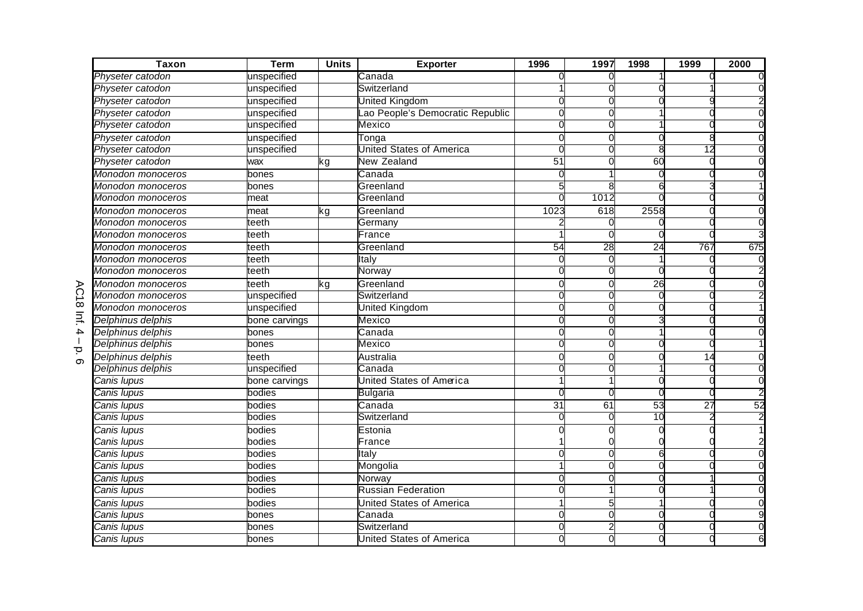| <b>Taxon</b>                   | <b>Term</b>   | <b>Units</b> | <b>Exporter</b>                 | 1996         | 1997 | 1998         | 1999            | 2000 |
|--------------------------------|---------------|--------------|---------------------------------|--------------|------|--------------|-----------------|------|
| Physeter catodon               | unspecified   |              | Canada                          |              |      |              |                 |      |
| Physeter catodon               | unspecified   |              | Switzerland                     |              |      |              |                 |      |
| Physeter catodon               | unspecified   |              | United Kingdom                  |              |      |              |                 |      |
| Physeter catodon               | unspecified   |              | ao People's Democratic Republic | $\Omega$     |      |              |                 |      |
| Physeter catodon               | unspecified   |              | Mexico                          | U            |      |              |                 |      |
| Physeter catodon               | unspecified   |              | Tonga                           | 0            |      |              |                 |      |
| Physeter catodon               | unspecified   |              | United States of America        | $\Omega$     |      |              | 12              |      |
| Physeter catodon               | wax           | kg           | <b>New Zealand</b>              | 51           |      | 60           |                 |      |
| Monodon monoceros              | pones         |              | Canada                          | $\Omega$     |      |              |                 |      |
| Monodon monoceros              | oones         |              | Greenland                       |              |      |              |                 |      |
| Monodon monoceros              | meat          |              | Greenland                       |              | 1012 |              |                 |      |
| Monodon monoceros              | meat          | kg           | Greenland                       | 1023         | 618  | 2558         |                 |      |
| Monodon monoceros              | teeth         |              | Germany                         |              |      |              |                 |      |
| Monodon monoceros              | teeth         |              | France                          |              |      |              |                 |      |
| Monodon monoceros              | teeth         |              | Greenland                       | 54           | 28   | 24           | 767             | 675  |
| Monodon monoceros              | teeth         |              | Italy                           | $\Omega$     |      |              |                 |      |
| Monodon monoceros              | teeth         |              | Norway                          | 0            |      |              |                 |      |
| Monodon monoceros              | teeth         | kg           | Greenland                       | 0            |      | 26           |                 |      |
| ౧<br><b>Monodon monoceros</b>  | unspecified   |              | Switzerland                     | $\Omega$     |      | 0            |                 |      |
| $\vec{8}$<br>Monodon monoceros | unspecified   |              | United Kingdom                  | $\Omega$     |      |              |                 |      |
| $\equiv$<br>Delphinus delphis  | bone carvings |              | Mexico                          |              |      |              |                 |      |
| 4<br>Delphinus delphis         | bones         |              | Canada                          | $\Omega$     |      |              |                 |      |
| Delphinus delphis<br>Ō         | bones         |              | Mexico                          |              |      |              |                 |      |
| Delphinus delphis<br>$\infty$  | teeth         |              | Australia                       |              |      |              | 14              |      |
| Delphinus delphis              | unspecified   |              | Canada                          |              |      |              |                 |      |
| Canis Iupus                    | bone carvings |              | United States of America        |              |      |              |                 |      |
| Canis Iupus                    | bodies        |              | <b>Bulgaria</b>                 | 0            |      |              |                 |      |
| Canis Iupus                    | bodies        |              | Canada                          | 31           | 61   | 53           | $\overline{27}$ | 52   |
| Canis Iupus                    | bodies        |              | Switzerland                     | $\Omega$     |      | 10           |                 |      |
| Canis Iupus                    | bodies        |              | Estonia                         |              |      |              |                 |      |
| Canis Iupus                    | bodies        |              | France                          |              |      |              |                 |      |
| Canis Iupus                    | bodies        |              | Italy                           | ∩            |      |              |                 |      |
| Canis Iupus                    | bodies        |              | Mongolia                        |              |      |              |                 |      |
| Canis Iupus                    | bodies        |              | Norway                          | $\Omega$     |      |              |                 |      |
| Canis Iupus                    | bodies        |              | <b>Russian Federation</b>       | $\Omega$     |      |              |                 |      |
| Canis Iupus                    | bodies        |              | United States of America        |              |      |              |                 |      |
| Canis Iupus                    | bones         |              | Canada                          | <sup>o</sup> |      |              |                 |      |
| Canis Iupus                    | bones         |              | Switzerland                     | $\Omega$     |      | $\mathbf{0}$ |                 |      |
| Canis Iupus                    | bones         |              | <b>United States of America</b> | 0            |      |              |                 |      |

 –<br>ס.<br>6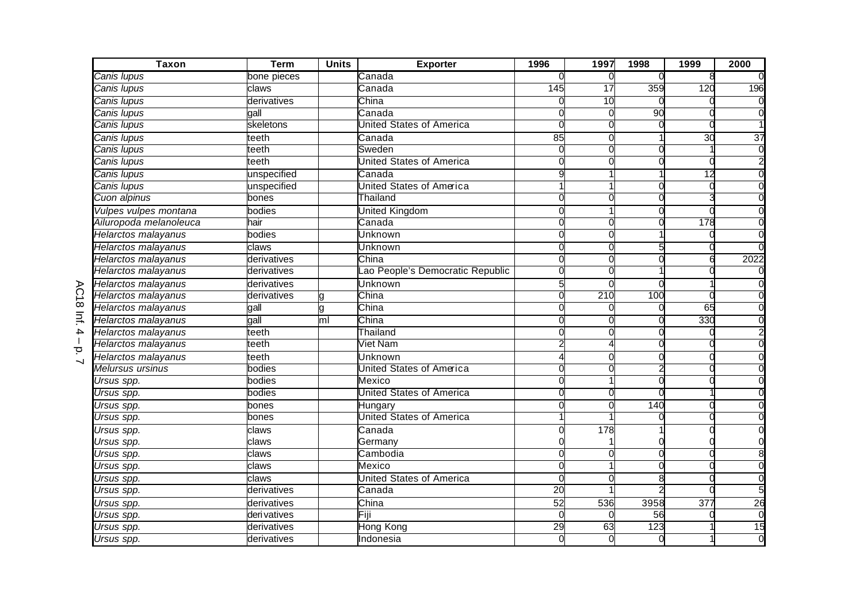| <b>Taxon</b>             | <b>Term</b>  | <b>Units</b> | <b>Exporter</b>                 | 1996     | 1997            | 1998 | 1999            | 2000            |
|--------------------------|--------------|--------------|---------------------------------|----------|-----------------|------|-----------------|-----------------|
| Canis Iupus              | bone pieces  |              | Canada                          |          | $\Omega$        | 0    |                 |                 |
| Canis Iupus              | claws        |              | Canada                          | 145      | $\overline{17}$ | 359  | 120             | 196             |
| Canis Iupus              | derivatives  |              | China                           |          | 10              | U    |                 |                 |
| Canis Iupus              | gall         |              | Canada                          |          | U               | 90   |                 |                 |
| Canis Iupus              | skeletons    |              | United States of America        |          | r               |      |                 |                 |
| Canis Iupus              | teeth        |              | Canada                          | 85       | $\Omega$        |      | $\overline{30}$ | $\overline{37}$ |
| Canis Iupus              | teeth        |              | Sweden                          | $\Omega$ | $\Omega$        | 0    |                 |                 |
| Canis Iupus              | teeth        |              | <b>United States of America</b> | $\Omega$ | O               | O    |                 |                 |
| Canis Iupus              | unspecified  |              | Canada                          | 9        |                 |      | $\overline{12}$ |                 |
| Canis Iupus              | unspecified  |              | <b>United States of America</b> | 1        |                 | U    |                 |                 |
| Cuon alpinus             | bones        |              | Thailand                        |          | U               |      |                 |                 |
| Vulpes vulpes montana    | bodies       |              | United Kingdom                  | ∩        |                 |      |                 |                 |
| Ailuropoda melanoleuca   | hair         |              | Canada                          |          | U               |      | 178             |                 |
| Helarctos malayanus      | bodies       |              | Unknown                         |          | O               |      |                 |                 |
| Helarctos malayanus      | claws        |              | Unknown                         |          | 0               |      |                 |                 |
| Helarctos malayanus      | derivatives  |              | China                           |          |                 |      |                 | 2022            |
| Helarctos malayanus      | derivatives  |              | ao People's Democratic Republic | $\Omega$ |                 |      |                 |                 |
| Helarctos malayanus      | derivatives  |              | Unknown                         | 5        | U               | ∩    |                 |                 |
| Helarctos malayanus      | derivatives  |              | China                           |          | 210             | 100  |                 |                 |
| Helarctos malayanus      | gall         |              | China                           |          | ∩               |      | 65              |                 |
| Helarctos malayanus      | gall         | Ē            | China                           |          | U               |      | 330             |                 |
| Helarctos malayanus      | teeth        |              | Thailand                        | O        | O               | U    |                 |                 |
| Helarctos malayanus      | teeth        |              | Viet Nam                        |          |                 |      |                 |                 |
| Helarctos malayanus      | teeth        |              | Unknown                         |          | O               |      |                 |                 |
| Melursus ursinus         | bodies       |              | United States of America        | 0        | O               |      |                 |                 |
| Ursus spp.               | bodies       |              | Mexico                          | $\Omega$ |                 | ∩    |                 |                 |
| Ursus spp.               | bodies       |              | <b>United States of America</b> |          | U               | ∩    |                 |                 |
| Ursus spp.               | bones        |              | Hungary                         | O        | U               | 140  |                 |                 |
| Ursus spp.               | bones        |              | <b>United States of America</b> |          |                 |      |                 |                 |
| Ursus spp.               | claws        |              | Canada                          |          | 178             |      |                 |                 |
| Ursus spp.               | claws        |              | Germany                         |          |                 |      |                 |                 |
| Ursus spp.               | claws        |              | Cambodia                        | $\Omega$ | O               | O    |                 |                 |
| $\overline{U}$ rsus spp. | claws        |              | Mexico                          | $\Omega$ |                 |      |                 |                 |
| Ursus spp.               | claws        |              | <b>United States of America</b> | ∩        | ∩               |      |                 |                 |
| Ursus spp.               | derivatives  |              | Canada                          | 20       |                 |      |                 |                 |
| <i><b>Jrsus spp.</b></i> | derivatives  |              | China                           | 52       | 536             | 3958 | 377             | 26              |
| Ursus spp.               | deri vatives |              | Fiji                            |          | ∩               | 56   |                 |                 |
| Ursus spp.               | derivatives  |              | <b>Hong Kong</b>                | 29       | 63              | 123  |                 | 15              |
| Ursus spp.               | derivatives  |              | Indonesia                       | 0        | 0               | O    |                 |                 |

–<br>J<br>J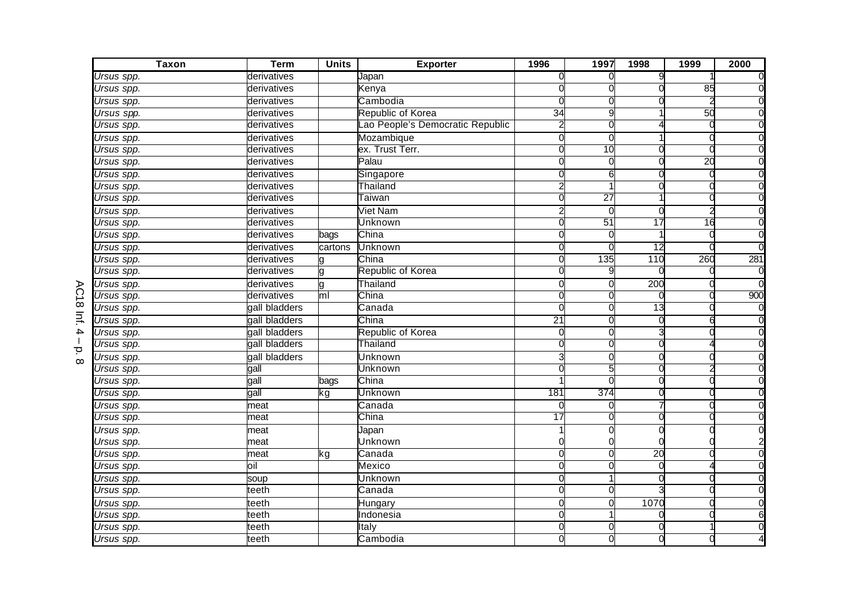| <b>Taxon</b> | <b>Term</b>   | <b>Units</b>   | <b>Exporter</b>                 | 1996            | 1997            | 1998            | 1999            | 2000 |
|--------------|---------------|----------------|---------------------------------|-----------------|-----------------|-----------------|-----------------|------|
| Ursus spp.   | derivatives   |                | Japan                           | 0               | 0               | 9               |                 |      |
| Ursus spp.   | derivatives   |                | Kenya                           |                 |                 |                 | 85              |      |
| Ursus spp.   | derivatives   |                | Cambodia                        |                 | U               |                 |                 |      |
| Ursus spp.   | derivatives   |                | Republic of Korea               | 34              | 9               |                 | 50              |      |
| Ursus spp.   | derivatives   |                | ao People's Democratic Republic |                 | 0               |                 |                 |      |
| Ursus spp.   | derivatives   |                | Mozambique                      | 0               | 0               |                 |                 |      |
| Ursus spp.   | derivatives   |                | ex. Trust Terr.                 | 0               | 10              | U               |                 |      |
| Ursus spp.   | derivatives   |                | Palau                           | $\Omega$        | $\Omega$        | O               | $\overline{20}$ |      |
| Ursus spp.   | derivatives   |                | Singapore                       | 0               | 6               | U               |                 |      |
| Ursus spp.   | derivatives   |                | Thailand                        | $\overline{c}$  |                 | ∩               |                 |      |
| Ursus spp.   | derivatives   |                | Taiwan                          | O               | $\overline{27}$ |                 |                 |      |
| Ursus spp.   | derivatives   |                | <b>Viet Nam</b>                 |                 | $\Omega$        | ∩               |                 |      |
| Ursus spp.   | derivatives   |                | Unknown                         | U               | 51              | 17              | 16              |      |
| Ursus spp.   | derivatives   | bags           | China                           |                 | 0               |                 |                 |      |
| Ursus spp.   | derivatives   | cartons        | Unknown                         | 0               | 0               | $\overline{12}$ |                 |      |
| Ursus spp.   | derivatives   |                | China                           | 0               | 135             | 110             | 260             | 281  |
| Ursus spp.   | derivatives   | g              | Republic of Korea               |                 |                 |                 |                 |      |
| Ursus spp.   | derivatives   | g              | Thailand                        | $\Omega$        | $\Omega$        | 200             |                 |      |
| Ursus spp.   | derivatives   | m <sub>l</sub> | China                           |                 | O               |                 |                 | 900  |
| Ursus spp.   | gall bladders |                | Canada                          | 0               | $\Omega$        | 13              |                 |      |
| Ursus spp.   | gall bladders |                | China                           | $\overline{21}$ | 0               |                 |                 |      |
| Ursus spp.   | gall bladders |                | Republic of Korea               | 0               | 0               |                 |                 |      |
| Ursus spp.   | gall bladders |                | Thailand                        |                 |                 |                 |                 |      |
| Ursus spp.   | gall bladders |                | <b>Unknown</b>                  |                 |                 |                 |                 |      |
| Ursus spp.   | gall          |                | Unknown                         |                 |                 |                 |                 |      |
| Ursus spp.   | gall          | bags           | China                           |                 | C               |                 |                 |      |
| Ursus spp.   | gall          | kg             | Unknown                         | 181             | 374             |                 |                 |      |
| Ursus spp.   | meat          |                | Canada                          | U               | 0               |                 |                 |      |
| Ursus spp.   | neat          |                | China                           | $\overline{17}$ | 0               |                 |                 |      |
| Ursus spp.   | meat          |                | Japan                           |                 |                 |                 |                 |      |
| Ursus spp.   | meat          |                | Unknown                         |                 |                 |                 |                 |      |
| Ursus spp.   | meat          | kg             | Canada                          | $\Omega$        | O               | 20              |                 |      |
| Ursus spp.   | oil           |                | Mexico                          | $\Omega$        | $\Omega$        | O               |                 |      |
| Ursus spp.   | soup          |                | <b>Unknown</b>                  |                 |                 |                 |                 |      |
| Ursus spp.   | teeth         |                | Canada                          | 0               | 0               |                 |                 |      |
| Ursus spp.   | leeth         |                | Hungary                         | 0               | 0               | 1070            |                 |      |
| Ursus spp.   | teeth         |                | Indonesia                       | 0               |                 |                 |                 |      |
| Ursus spp.   | leeth         |                | Italy                           | 0               | O               |                 |                 |      |
| Ursus spp.   | teeth         |                | Cambodia                        | 0               | 0               |                 |                 |      |

AC18  $\equiv$   $\frac{1}{9}$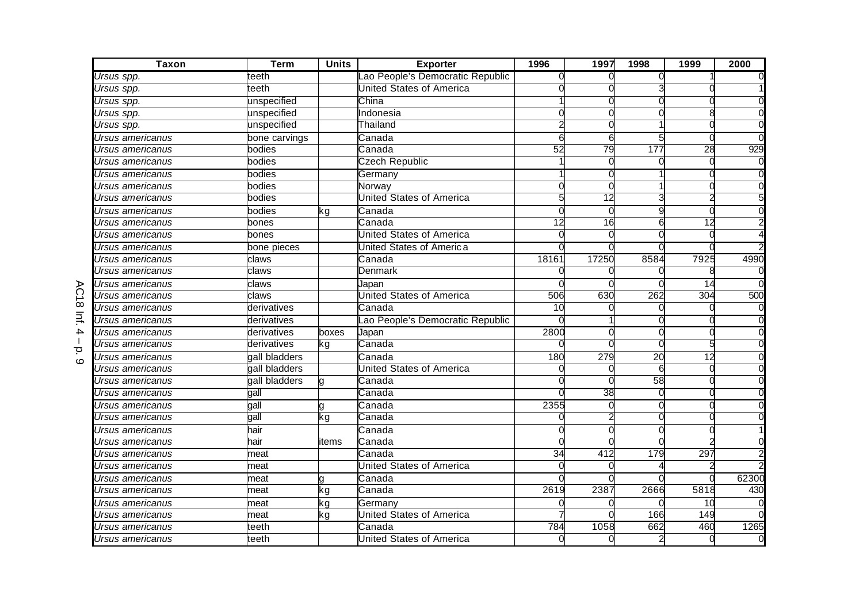| <b>Taxon</b>                   | <b>Term</b>   | <b>Units</b> | <b>Exporter</b>                 | 1996  | 1997            | 1998            | 1999 | 2000  |
|--------------------------------|---------------|--------------|---------------------------------|-------|-----------------|-----------------|------|-------|
| Ursus spp.                     | teeth         |              | ao People's Democratic Republic |       |                 |                 |      |       |
| Ursus spp.                     | teeth         |              | <b>United States of America</b> |       |                 |                 |      |       |
| Ursus spp.                     | unspecified   |              | China                           |       |                 |                 |      |       |
| $\overline{U}$ rsus spp.       | unspecified   |              | Indonesia                       |       |                 |                 |      |       |
| Ursus spp.                     | unspecified   |              | Thailand                        |       |                 |                 |      |       |
| <i><b>Jrsus americanus</b></i> | bone carvings |              | Canada                          | 6     | 6               |                 |      |       |
| <b>Jrsus americanus</b>        | bodies        |              | Canada                          | 52    | 79              | 177             | 28   | 929   |
| Ursus americanus               | bodies        |              | <b>Czech Republic</b>           |       | O               |                 |      |       |
| Ursus americanus               | bodies        |              | Germany                         |       |                 |                 |      |       |
| Jrsus americanus               | bodies        |              | Norwav                          |       |                 |                 |      |       |
| Ursus americanus               | bodies        |              | United States of America        |       | $\overline{12}$ |                 |      |       |
| Ursus americanus               | bodies        | kg           | Canada                          |       | $\Omega$        |                 |      |       |
| Jrsus americanus               | bones         |              | Canada                          | 12    | $\overline{16}$ |                 | 12   |       |
| Jrsus americanus               | bones         |              | United States of America        |       |                 |                 |      |       |
| Jrsus americanus               | bone pieces   |              | United States of America        |       |                 |                 |      |       |
| Jrsus americanus               | claws         |              | Canada                          | 18161 | 17250           | 8584            | 7925 | 4990  |
| Jrsus americanus               | claws         |              | Denmark                         |       |                 |                 |      |       |
| Jrsus americanus               | claws         |              | Japan                           |       |                 |                 | 14   |       |
| Jrsus americanus               | claws         |              | <b>United States of America</b> | 506   | 630             | 262             | 304  | 500   |
| <b>Jrsus americanus</b>        | derivatives   |              | Canada                          | 10    | C               |                 |      |       |
| Jrsus americanus               | derivatives   |              | ao People's Democratic Republic |       |                 |                 |      |       |
| Jrsus americanus               | derivatives   | boxes        | Japan                           | 2800  |                 |                 |      |       |
| Jrsus americanus               | derivatives   | kg           | Canada                          |       |                 |                 |      |       |
| Ursus americanus               | gall bladders |              | Canada                          | 180   | 279             | $\overline{20}$ | 12   |       |
| Jrsus americanus               | gall bladders |              | United States of America        |       |                 | 6               |      |       |
| Ursus americanus               | gall bladders |              | Canada                          |       |                 | 58              |      |       |
| Jrsus americanus               | gall          |              | Canada                          |       | 38              |                 |      |       |
| <b>Jrsus americanus</b>        | gall          |              | Canada                          | 2355  | $\Omega$        |                 |      |       |
| Jrsus americanus               | gall          | ٢g           | Canada                          |       |                 |                 |      |       |
| Ursus americanus               | hair          |              | Canada                          |       |                 |                 |      |       |
| Jrsus americanus               | hair          | items        | Canada                          |       |                 |                 |      |       |
| Ursus americanus               | meat          |              | Canada                          | 34    | 412             | 179             | 297  |       |
| Jrsus americanus               | meat          |              | <b>United States of America</b> |       |                 |                 |      |       |
| Jrsus americanus               | meat          |              | Canada                          |       |                 |                 |      | 62300 |
| Jrsus americanus               | meat          | ٢g           | Canada                          | 2619  | 2387            | 2666            | 5818 | 430   |
| Jrsus americanus               | meat          | kg           | Germany                         |       |                 |                 | 10   |       |
| Jrsus americanus               | meat          | kg           | <b>United States of America</b> |       |                 | 166             | 149  |       |
| Jrsus americanus               | teeth         |              | Canada                          | 784   | 1058            | 662             | 460  | 1265  |
| Ursus americanus               | teeth         |              | <b>United States of America</b> | U     | O               | 2               |      |       |

–<br>0.<br>0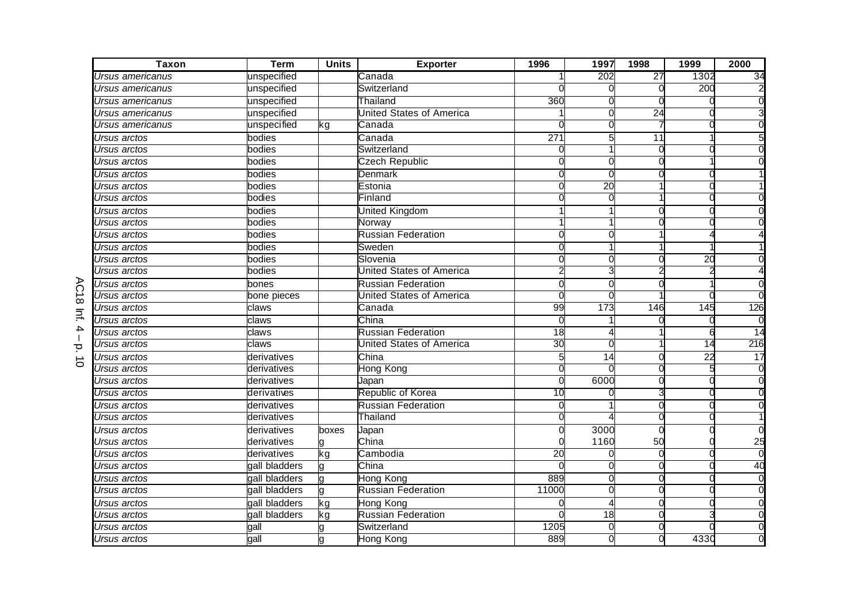| <b>Taxon</b>                   | <b>Term</b>   | <b>Units</b> | <b>Exporter</b>                 | 1996            | 1997            | 1998            | 1999            | 2000     |
|--------------------------------|---------------|--------------|---------------------------------|-----------------|-----------------|-----------------|-----------------|----------|
| Jrsus americanus               | unspecified   |              | Canada                          |                 | 202             | $\overline{27}$ | 1302            | 34       |
| Jrsus americanus               | unspecified   |              | Switzerland                     |                 |                 |                 | 200             |          |
| Ursus americanus               | unspecified   |              | Thailand                        | 360             |                 |                 |                 |          |
| <i><b>Jrsus americanus</b></i> | unspecified   |              | United States of America        |                 | ſ               | $\overline{24}$ |                 |          |
| Jrsus americanus               | unspecified   | kg           | Canada                          |                 |                 |                 |                 |          |
| Jrsus arctos                   | bodies        |              | Canada                          | 271             | 5               | 11              |                 |          |
| Jrsus arctos                   | bodies        |              | Switzerland                     | O               |                 | O               |                 |          |
| <i><b>Jrsus arctos</b></i>     | bodies        |              | Czech Republic                  |                 | ſ               |                 |                 |          |
| <b>Jrsus arctos</b>            | bodies        |              | <b>Denmark</b>                  |                 |                 |                 |                 |          |
| <b>Jrsus arctos</b>            | bodies        |              | Estonia                         | $\Omega$        | $\overline{20}$ |                 |                 |          |
| <i><b>Jrsus arctos</b></i>     | bodies        |              | Finland                         |                 | ∩               |                 |                 |          |
| Ursus arctos                   | bodies        |              | <b>United Kingdom</b>           |                 |                 |                 |                 |          |
| Jrsus arctos                   | bodies        |              | Norway                          |                 |                 |                 |                 |          |
| Jrsus arctos                   | bodies        |              | <b>Russian Federation</b>       | n               | O               |                 |                 |          |
| Jrsus arctos                   | bodies        |              | Sweden                          | 0               |                 |                 |                 |          |
| Ursus arctos                   | bodies        |              | Slovenia                        |                 |                 |                 | $\overline{20}$ |          |
| <b>Jrsus arctos</b>            | bodies        |              | United States of America        |                 |                 |                 |                 |          |
| Jrsus arctos                   | bones         |              | <b>Russian Federation</b>       | $\Omega$        | O               | O               |                 |          |
| <i><b>Jrsus arctos</b></i>     | bone pieces   |              | <b>United States of America</b> |                 |                 |                 |                 |          |
| Jrsus arctos                   | claws         |              | Canada                          | 99              | 173             | 146             | 145             | 126      |
| Jrsus arctos                   | claws         |              | China                           |                 |                 |                 |                 |          |
| Jrsus arctos                   | claws         |              | <b>Russian Federation</b>       | 18              |                 |                 | 6               | 14       |
| <i><b>Jrsus arctos</b></i>     | claws         |              | <b>Jnited States of America</b> | 30              |                 |                 | $\overline{14}$ | 216      |
| <i><b>Jrsus arctos</b></i>     | derivatives   |              | China                           | 5               | 14              |                 | $\overline{22}$ | 17       |
| <b>Jrsus arctos</b>            | derivatives   |              | Hong Kong                       | U               |                 |                 |                 |          |
| <b>Jrsus arctos</b>            | derivatives   |              | Japan                           | $\Omega$        | 6000            |                 |                 |          |
| <b>Jrsus arctos</b>            | derivatives   |              | Republic of Korea               | 10              |                 |                 |                 |          |
| Jrsus arctos                   | derivatives   |              | <b>Russian Federation</b>       | ∩               |                 |                 |                 |          |
| Jrsus arctos                   | derivatives   |              | Thailand                        | U               |                 |                 |                 |          |
| <i><b>Jrsus arctos</b></i>     | derivatives   | boxes        | Japan                           |                 | 3000            |                 |                 |          |
| <b>Jrsus arctos</b>            | derivatives   |              | China                           |                 | 1160            | 50              |                 | 25       |
| <b>Jrsus arctos</b>            | derivatives   | kg           | Cambodia                        | $\overline{20}$ | ſ               | $\Omega$        |                 | $\Omega$ |
| <i><b>Jrsus arctos</b></i>     | gall bladders |              | China                           |                 |                 |                 |                 | 40       |
| <i><b>Jrsus arctos</b></i>     | gall bladders |              | Hong Kong                       | 889             | O               |                 |                 |          |
| Jrsus arctos                   | gall bladders | q            | <b>Russian Federation</b>       | 11000           | O               | ∩               |                 |          |
| Jrsus arctos                   | gall bladders | kg           | <b>Hong Kong</b>                |                 |                 | ∩               |                 |          |
| Jrsus arctos                   | gall bladders | kg           | <b>Russian Federation</b>       |                 | 18              | O               |                 |          |
| Jrsus arctos                   | gall          |              | Switzerland                     | 1205            | 0               |                 |                 |          |
| Ursus arctos                   | gall          |              | <b>Hong Kong</b>                | 889             | O               |                 | 4330            |          |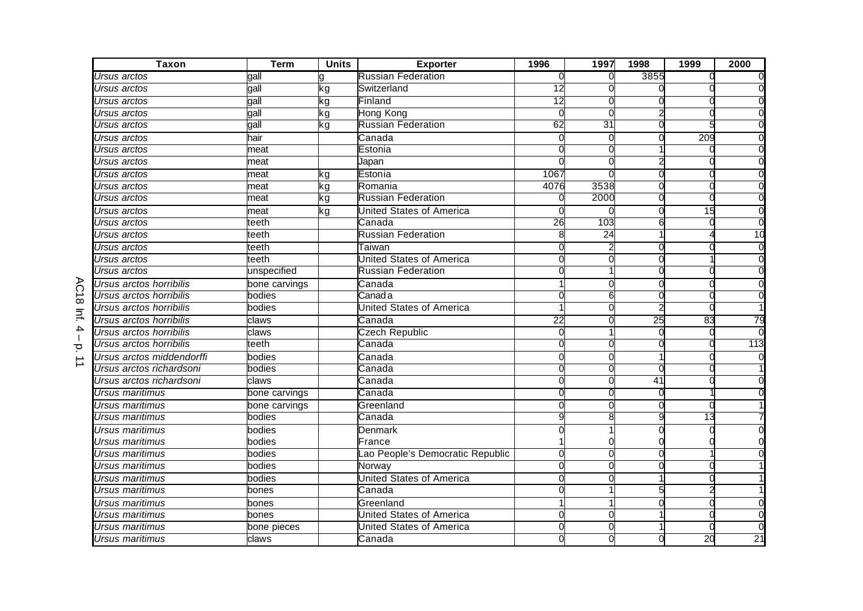| <b>Taxon</b>              | <b>Term</b>   | <b>Units</b> | <b>Exporter</b>                 | 1996            | 1997            | 1998            | 1999            | 2000            |
|---------------------------|---------------|--------------|---------------------------------|-----------------|-----------------|-----------------|-----------------|-----------------|
| Ursus arctos              | qall          |              | <b>Russian Federation</b>       |                 | 0               | 3855            |                 |                 |
| Ursus arctos              | gall          | kg           | Switzerland                     | 12              |                 |                 |                 |                 |
| Ursus arctos              | gall          | ٢g           | Finland                         | 12              |                 |                 |                 |                 |
| Ursus arctos              | gall          | ٢g           | Hong Kong                       |                 | ſ               |                 |                 |                 |
| Ursus arctos              | gall          | kg           | <b>Russian Federation</b>       | 62              | 31              |                 |                 |                 |
| Ursus arctos              | hair          |              | Canada                          |                 | $\Omega$        |                 | 209             |                 |
| Ursus arctos              | meat          |              | Estonia                         |                 | $\Omega$        |                 |                 |                 |
| Ursus arctos              | meat          |              | Japan                           |                 | 0               |                 |                 |                 |
| Ursus arctos              | meat          | ٢ğ           | Estonia                         | 1067            |                 |                 |                 |                 |
| Ursus arctos              | meat          | ٢g           | Romania                         | 4076            | 3538            |                 |                 |                 |
| Ursus arctos              | meat          | kg           | <b>Russian Federation</b>       |                 | 2000            |                 |                 |                 |
| Ursus arctos              | meat          | kg           | <b>United States of America</b> |                 |                 |                 | $\frac{1}{5}$   |                 |
| Ursus arctos              | teeth         |              | Canada                          | 26              | 103             | 6               |                 |                 |
| Ursus arctos              | teeth         |              | <b>Russian Federation</b>       | 8               | $\overline{24}$ |                 |                 | 10              |
| Ursus arctos              | teeth         |              | ⊺aiwan                          |                 |                 |                 |                 |                 |
| Ursus arctos              | teeth         |              | <b>United States of America</b> |                 |                 |                 |                 |                 |
| Ursus arctos              | unspecified   |              | <b>Russian Federation</b>       |                 |                 |                 |                 |                 |
| Ursus arctos horribilis   | bone carvings |              | Canada                          |                 | O               |                 |                 |                 |
| Ursus arctos horribilis   | bodies        |              | Canada                          |                 | 6               |                 |                 |                 |
| Ursus arctos horribilis   | bodies        |              | <b>United States of America</b> |                 | ∩               |                 |                 |                 |
| Ursus arctos horribilis   | claws         |              | Canada                          | $\overline{22}$ |                 | $\overline{25}$ | 83              | 79              |
| Ursus arctos horribilis   | claws         |              | <b>Czech Republic</b>           | O               |                 | U               |                 |                 |
| Ursus arctos horribilis   | teeth         |              | Canada                          |                 |                 |                 |                 | 113             |
| Ursus arctos middendorffi | bodies        |              | Canada                          |                 | O               |                 |                 |                 |
| Ursus arctos richardsoni  | bodies        |              | Canada                          | 0               | 0               | U               |                 |                 |
| Ursus arctos richardsoni  | claws         |              | Canada                          |                 | ∩               | 41              |                 |                 |
| Ursus maritimus           | bone carvings |              | Canada                          |                 |                 |                 |                 |                 |
| Ursus maritimus           | bone carvings |              | Greenland                       |                 | O               |                 |                 |                 |
| Ursus maritimus           | bodies        |              | Canada                          |                 |                 |                 | 13              |                 |
| <b>Ursus maritimus</b>    | bodies        |              | Denmark                         |                 |                 |                 |                 |                 |
| Ursus maritimus           | bodies        |              | France                          |                 |                 |                 |                 |                 |
| Ursus maritimus           | bodies        |              | ao People's Democratic Republic | $\Omega$        | $\Omega$        | O               |                 |                 |
| <b>Ursus maritimus</b>    | bodies        |              | Norway                          | $\Omega$        | ∩               |                 |                 |                 |
| Ursus maritimus           | bodies        |              | <b>United States of America</b> |                 |                 |                 |                 |                 |
| Ursus maritimus           | bones         |              | Canada                          |                 |                 |                 |                 |                 |
| Ursus maritimus           | bones         |              | Greenland                       |                 | 1               | ∩               |                 |                 |
| Ursus maritimus           | bones         |              | <b>United States of America</b> | 0               | 0               |                 |                 |                 |
| Ursus maritimus           | bone pieces   |              | <b>United States of America</b> | $\Omega$        | O               |                 |                 |                 |
| Ursus maritimus           | claws         |              | Canada                          |                 |                 |                 | $\overline{20}$ | $\overline{21}$ |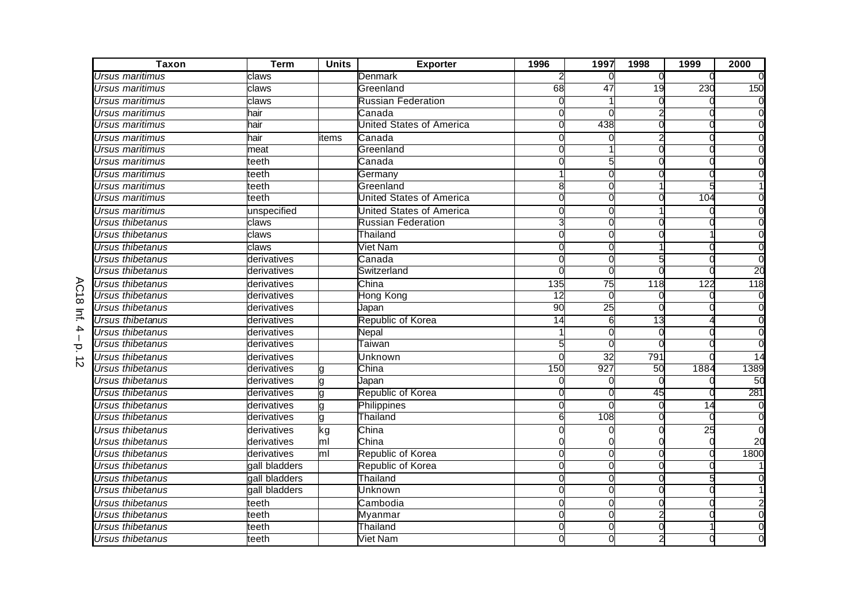| <b>Taxon</b>            | <b>Term</b>   | <b>Units</b>   | <b>Exporter</b>                 | 1996            | 1997            | 1998             | 1999             | 2000     |
|-------------------------|---------------|----------------|---------------------------------|-----------------|-----------------|------------------|------------------|----------|
| Ursus maritimus         | claws         |                | Denmark                         |                 | $\Omega$        | 0                |                  |          |
| Ursus maritimus         | claws         |                | Greenland                       | 68              | 47              | 19               | 230              | 150      |
| Ursus maritimus         | claws         |                | <b>Russian Federation</b>       |                 |                 |                  |                  |          |
| Ursus maritimus         | hair          |                | Canada                          |                 |                 |                  |                  |          |
| Jrsus maritimus         | hair          |                | United States of America        |                 | 438             |                  |                  |          |
| <b>Jrsus maritimus</b>  | hair          | tems           | Canada                          |                 |                 |                  |                  |          |
| Jrsus maritimus         | meat          |                | Greenland                       |                 |                 |                  |                  |          |
| Ursus maritimus         | teeth         |                | Canada                          |                 |                 |                  |                  |          |
| Ursus maritimus         | teeth         |                | Germany                         |                 |                 |                  |                  |          |
| Ursus maritimus         | teeth         |                | Greenland                       | 8               | C               |                  |                  |          |
| Ursus maritimus         | teeth         |                | <b>United States of America</b> |                 |                 |                  | 104              |          |
| Ursus maritimus         | unspecified   |                | <b>United States of America</b> | C               | C               |                  |                  |          |
| Ursus thibetanus        | claws         |                | <b>Russian Federation</b>       | З               |                 |                  |                  |          |
| <b>Jrsus thibetanus</b> | claws         |                | Thailand                        | U               | C               |                  |                  |          |
| Ursus thibetanus        | claws         |                | Viet Nam                        | 0               | O               |                  |                  |          |
| Ursus thibetanus        | derivatives   |                | Canada                          | O               |                 |                  |                  | $\Omega$ |
| Ursus thibetanus        | derivatives   |                | Switzerland                     |                 |                 |                  |                  | 20       |
| Ursus thibetanus        | derivatives   |                | China                           | 135             | $\overline{75}$ | $\overline{118}$ | $\overline{122}$ | 118      |
| Ursus thibetanus        | derivatives   |                | Hong Kong                       | $\overline{12}$ |                 |                  |                  |          |
| Ursus thibetanus        | derivatives   |                | Japan                           | 90              | 25              |                  |                  |          |
| Ursus thibetanus        | derivatives   |                | Republic of Korea               | $\overline{14}$ | 6               | $\overline{13}$  |                  |          |
| Ursus thibetanus        | derivatives   |                | Nepal                           |                 | C               | C                |                  |          |
| Ursus thibetanus        | derivatives   |                | Taiwan                          |                 |                 |                  |                  |          |
| Ursus thibetanus        | derivatives   |                | Unknown                         |                 | $\overline{32}$ | 791              |                  | 14       |
| Ursus thibetanus        | derivatives   |                | China                           | 150             | 927             | 50               | 1884             | 1389     |
| Ursus thibetanus        | derivatives   |                | Japan                           |                 |                 |                  |                  | 50       |
| Ursus thibetanus        | derivatives   |                | Republic of Korea               |                 |                 | 45               |                  | 281      |
| Ursus thibetanus        | derivatives   |                | Philippines                     | ∩               | C               |                  | 14               | $\Omega$ |
| Ursus thibetanus        | derivatives   | g              | Thailand                        | 6               | 108             |                  |                  |          |
| Ursus thibetanus        | derivatives   | kg             | China                           |                 |                 |                  | $\overline{25}$  |          |
| Ursus thibetanus        | derivatives   | ml             | China                           |                 |                 |                  |                  | 20       |
| Ursus thibetanus        | derivatives   | m <sub>l</sub> | Republic of Korea               | $\Omega$        |                 | $\Omega$         |                  | 1800     |
| Ursus thibetanus        | gall bladders |                | Republic of Korea               | $\Omega$        | $\Omega$        |                  |                  |          |
| Ursus thibetanus        | gall bladders |                | Thailand                        |                 |                 |                  |                  |          |
| Ursus thibetanus        | gall bladders |                | <b>Unknown</b>                  | C               | C               |                  |                  |          |
| Ursus thibetanus        | teeth         |                | Cambodia                        | C               | O               |                  |                  |          |
| Ursus thibetanus        | teeth         |                | Myanmar                         | C               | C               |                  |                  |          |
| Ursus thibetanus        | teeth         |                | Thailand                        |                 |                 |                  |                  |          |
| Ursus thibetanus        | teeth         |                | Viet Nam                        |                 |                 |                  |                  |          |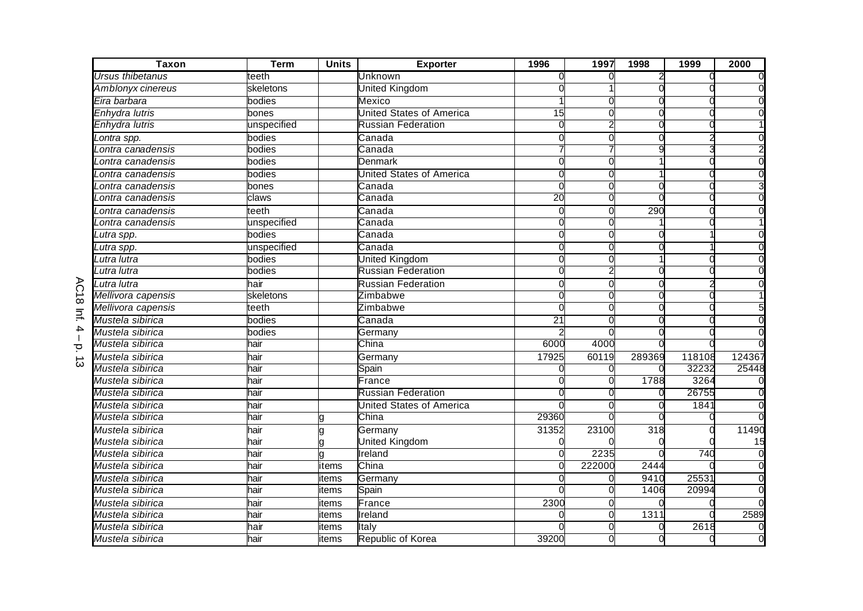| <b>Taxon</b>       | <b>Term</b> | <b>Units</b> | <b>Exporter</b>                 | 1996            | 1997   | 1998   | 1999   | 2000   |
|--------------------|-------------|--------------|---------------------------------|-----------------|--------|--------|--------|--------|
| Ursus thibetanus   | teeth       |              | Unknown                         |                 |        |        |        |        |
| Amblonyx cinereus  | skeletons   |              | <b>United Kingdom</b>           |                 |        |        |        |        |
| Eira barbara       | bodies      |              | Mexico                          |                 |        |        |        |        |
| Enhydra lutris     | bones       |              | <b>United States of America</b> | 15              |        |        |        |        |
| Enhydra lutris     | unspecified |              | <b>Russian Federation</b>       |                 |        |        |        |        |
| Lontra spp.        | bodies      |              | Canada                          | ſ               |        |        |        |        |
| ontra canadensis   | bodies      |              | Canada                          |                 |        | g      |        |        |
| ontra canadensis   | bodies      |              | Denmark                         | $\Omega$        |        |        |        |        |
| Lontra canadensis  | bodies      |              | <b>United States of America</b> | C               |        |        |        |        |
| Lontra canadensis  | bones       |              | Canada                          | $\sqrt{ }$      |        |        |        |        |
| Lontra canadensis  | claws       |              | Canada                          | 20              |        |        |        |        |
| Lontra canadensis  | teeth       |              | Canada                          | $\Omega$        |        | 290    |        |        |
| ontra canadensis   | unspecified |              | Canada                          | ſ               |        |        |        |        |
| Lutra spp.         | bodies      |              | Canada                          | ſ               |        |        |        |        |
| Lutra spp.         | unspecified |              | Canada                          | 0               |        |        |        |        |
| Lutra lutra        | bodies      |              | <b>United Kingdom</b>           | C               |        |        |        |        |
| Lutra lutra        | bodies      |              | <b>Russian Federation</b>       |                 |        |        |        |        |
| Lutra lutra        | hair        |              | <b>Russian Federation</b>       | $\Omega$        | ſ      |        |        |        |
| Mellivora capensis | skeletons   |              | Zimbabwe                        |                 |        |        |        |        |
| Mellivora capensis | teeth       |              | Zimbabwe                        |                 |        |        |        |        |
| Mustela sibirica   | bodies      |              | Canada                          | $\overline{21}$ |        |        |        |        |
| Mustela sibirica   | bodies      |              | Germany                         |                 |        |        |        |        |
| Mustela sibirica   | hair        |              | China                           | 6000            | 4000   |        |        |        |
| Mustela sibirica   | hair        |              | Germany                         | 17925           | 60119  | 289369 | 118108 | 124367 |
| Mustela sibirica   | hair        |              | Spain                           |                 |        |        | 32232  | 25448  |
| Mustela sibirica   | hair        |              | France                          |                 |        | 1788   | 3264   |        |
| Mustela sibirica   | hair        |              | <b>Russian Federation</b>       |                 |        |        | 26755  |        |
| Mustela sibirica   | hair        |              | <b>United States of America</b> |                 |        | C      | 1841   |        |
| Mustela sibirica   | hair        |              | China                           | 29360           |        |        |        |        |
| Mustela sibirica   | hair        |              | Germany                         | 31352           | 23100  | 318    |        | 11490  |
| Mustela sibirica   | hair        |              | <b>United Kingdom</b>           |                 |        |        |        | 15     |
| Mustela sibirica   | hair        | a            | Ireland                         | $\Omega$        | 2235   |        | 740    |        |
| Mustela sibirica   | hair        | items        | China                           | $\Omega$        | 222000 | 2444   |        |        |
| Mustela sibirica   | hair        | items        | Germany                         |                 |        | 9410   | 25531  |        |
| Mustela sibirica   | hair        | items        | Spain                           |                 |        | 1406   | 20994  |        |
| Mustela sibirica   | hair        | items        | France                          | 2300            |        |        |        |        |
| Mustela sibirica   | hair        | items        | Ireland                         |                 |        | 1311   |        | 2589   |
| Mustela sibirica   | hair        | items        | Italy                           |                 |        |        | 2618   |        |
| Mustela sibirica   | hair        | items        | Republic of Korea               | 39200           |        |        |        |        |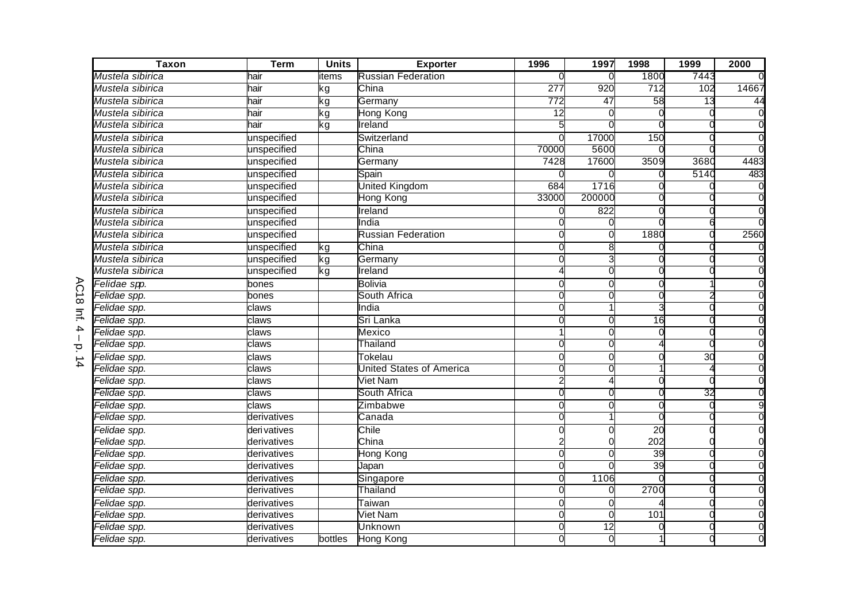| <b>Taxon</b>             | <b>Term</b>  | <b>Units</b> | <b>Exporter</b>           | 1996            | 1997   | 1998            | 1999 | 2000  |
|--------------------------|--------------|--------------|---------------------------|-----------------|--------|-----------------|------|-------|
| Mustela sibirica         | hair         | items        | <b>Russian Federation</b> |                 |        | 1800            | 7443 |       |
| Mustela sibirica         | hair         | kg           | China                     | 277             | 920    | 712             | 102  | 14667 |
| Mustela sibirica         | hair         | kg           | Germany                   | 772             | 47     | 58              | 13   | 44    |
| Mustela sibirica         | hair         | kg           | Hong Kong                 | $\overline{12}$ |        |                 |      |       |
| Mustela sibirica         | hair         | kg           | Ireland                   |                 |        |                 |      |       |
| Mustela sibirica         | unspecified  |              | Switzerland               |                 | 17000  | 150             |      |       |
| Mustela sibirica         | unspecified  |              | China                     | 70000           | 5600   |                 |      |       |
| Mustela sibirica         | unspecified  |              | Germany                   | 7428            | 17600  | 3509            | 3680 | 4483  |
| Mustela sibirica         | unspecified  |              | Spain                     |                 |        |                 | 5140 | 483   |
| Mustela sibirica         | unspecified  |              | United Kingdom            | 684             | 1716   |                 |      |       |
| Mustela sibirica         | unspecified  |              | Hong Kong                 | 33000           | 200000 |                 |      |       |
| Mustela sibirica         | unspecified  |              | Ireland                   | O               | 822    |                 |      |       |
| Mustela sibirica         | unspecified  |              | India                     |                 |        |                 |      |       |
| Mustela sibirica         | unspecified  |              | <b>Russian Federation</b> |                 |        | 1880            |      | 2560  |
| Mustela sibirica         | unspecified  | kg           | China                     |                 | 8      |                 |      |       |
| Mustela sibirica         | unspecified  | kg           | Germany                   | 0               | 3      | ∩               |      |       |
| Mustela sibirica         | unspecified  | kg           | Ireland                   |                 |        |                 |      |       |
| <del>Fe</del> lidae spp. | bones        |              | <b>Bolivia</b>            | $\Omega$        | O      | ∩               |      |       |
| Felidae spp.             | bones        |              | South Africa              | $\Omega$        | 0      | O               |      |       |
| Felidae spp.             | claws        |              | India                     | $\Omega$        |        |                 |      |       |
| Felidae spp.             | claws        |              | Sri Lanka                 |                 |        | 16              |      |       |
| Felidae spp.             | claws        |              | Mexico                    |                 | O      |                 |      |       |
| Felidae spp.             | claws        |              | Thailand                  |                 | O      |                 |      |       |
| Felidae spp.             | claws        |              | Tokelau                   | $\Omega$        | 0      |                 | 30   |       |
| Felidae spp.             | claws        |              | United States of America  |                 |        |                 |      |       |
| Felidae spp.             | claws        |              | Viet Nam                  | 2               |        |                 |      |       |
| Felidae spp.             | claws        |              | South Africa              | $\Omega$        | O      | ∩               | 32   |       |
| Felidae spp.             | claws        |              | Zimbabwe                  |                 |        |                 |      |       |
| Felidae spp.             | derivatives  |              | Canada                    |                 |        |                 |      |       |
| Felidae spp.             | deri vatives |              | Chile                     |                 |        | $\overline{20}$ |      |       |
| Felidae spp.             | derivatives  |              | China                     |                 |        | 202             |      |       |
| Felidae spp.             | derivatives  |              | <b>Hong Kong</b>          | $\Omega$        |        | 39              |      |       |
| Felidae spp.             | derivatives  |              | Japan                     | $\Omega$        |        | 39              |      |       |
| <del>Fe</del> lidae spp. | derivatives  |              | Singapore                 | $\Omega$        | 1106   |                 |      |       |
| Felidae spp.             | derivatives  |              | Thailand                  |                 |        | 2700            |      |       |
| Felidae spp.             | derivatives  |              | Taiwan                    |                 |        |                 |      |       |
| Felidae spp.             | derivatives  |              | <b>Viet Nam</b>           | O               | 0      | 101             |      |       |
| Felidae spp.             | derivatives  |              | Unknown                   | $\Omega$        | 12     | O               |      |       |
| Felidae spp.             | derivatives  | bottles      | <b>Hong Kong</b>          |                 | 0      |                 |      |       |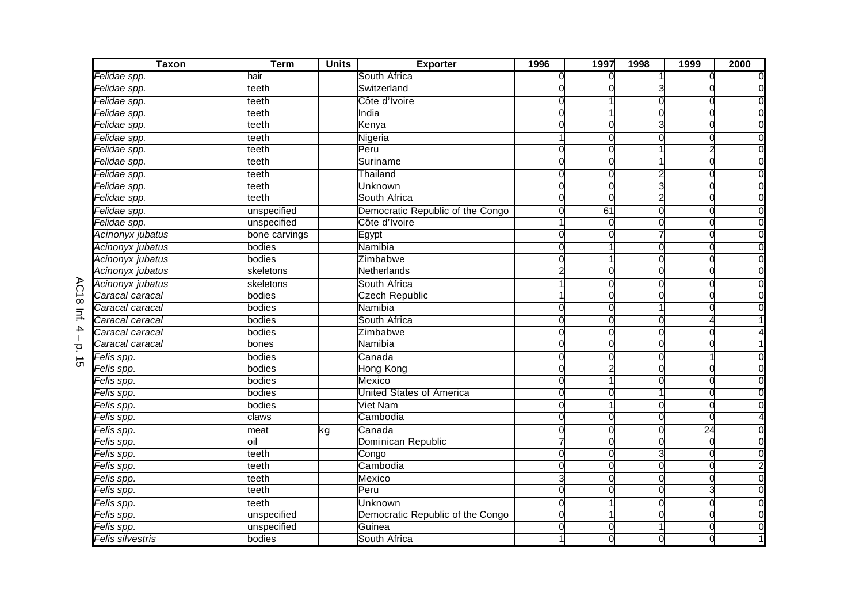| <b>Taxon</b>     | <b>Term</b>   | <b>Units</b> | <b>Exporter</b>                  | 1996     | 1997     | 1998     | 1999            | 2000 |
|------------------|---------------|--------------|----------------------------------|----------|----------|----------|-----------------|------|
| Felidae spp.     | hair          |              | South Africa                     |          |          |          |                 |      |
| Felidae spp.     | teeth         |              | Switzerland                      |          |          |          |                 |      |
| Felidae spp.     | teeth         |              | Côte d'Ivoire                    |          |          |          |                 |      |
| Felidae spp.     | teeth         |              | India                            |          |          |          |                 |      |
| Felidae spp.     | teeth         |              | Kenya                            |          |          |          |                 |      |
| Felidae spp.     | teeth         |              | Nigeria                          |          |          |          |                 |      |
| Felidae spp.     | teeth         |              | Peru                             |          |          |          |                 |      |
| Felidae spp.     | teeth         |              | Suriname                         |          |          |          |                 |      |
| Felidae spp.     | teeth         |              | Thailand                         |          |          |          |                 |      |
| Felidae spp.     | teeth         |              | Unknown                          | $\Omega$ | C        | З        |                 |      |
| Felidae spp.     | teeth         |              | South Africa                     | O        | O        |          |                 |      |
| Felidae spp.     | unspecified   |              | Democratic Republic of the Congo | $\Omega$ | 61       | C        |                 |      |
| Felidae spp.     | unspecified   |              | Côte d'Ivoire                    |          | C        |          |                 |      |
| Acinonyx jubatus | bone carvings |              | Egypt                            | 0        | O        |          |                 |      |
| Acinonyx jubatus | bodies        |              | Namibia                          | 0        |          | 0        | r               |      |
| Acinonyx jubatus | bodies        |              | Zimbabwe                         |          |          | C        |                 |      |
| Acinonyx jubatus | skeletons     |              | Netherlands                      |          |          |          |                 |      |
| Acinonyx jubatus | skeletons     |              | South Africa                     |          | C        |          |                 |      |
| Caracal caracal  | bodies        |              | <b>Czech Republic</b>            |          | O        |          |                 |      |
| Caracal caracal  | bodies        |              | Namibia                          |          |          |          |                 |      |
| Caracal caracal  | bodies        |              | South Africa                     |          |          |          |                 |      |
| Caracal caracal  | bodies        |              | Zimbabwe                         | 0        | 0        | O        |                 |      |
| Caracal caracal  | bones         |              | Namibia                          |          |          |          |                 |      |
| Felis spp.       | bodies        |              | Canada                           | 0        | 0        | 0        |                 |      |
| Felis spp.       | bodies        |              | Hong Kong                        |          |          |          |                 |      |
| Felis spp.       | bodies        |              | Mexico                           | $\Omega$ |          |          |                 |      |
| Felis spp.       | bodies        |              | <b>United States of America</b>  |          |          |          |                 |      |
| Felis spp.       | bodies        |              | Viet Nam                         |          |          |          |                 |      |
| Felis spp.       | claws         |              | Cambodia                         |          |          |          |                 |      |
| Felis spp.       | meat          | kg           | Canada                           |          |          |          | $\overline{24}$ |      |
| Felis spp.       | oil           |              | Dominican Republic               |          |          |          |                 |      |
| Felis spp.       | teeth         |              | Congo                            | $\Omega$ | $\Omega$ | 3        |                 |      |
| Felis spp.       | teeth         |              | Cambodia                         | $\Omega$ | $\Omega$ | $\Omega$ |                 |      |
| Felis spp.       | teeth         |              | Mexico                           | 3        | $\Omega$ | $\Omega$ |                 |      |
| Felis spp.       | teeth         |              | Peru                             |          | C        |          |                 |      |
| Felis spp.       | teeth         |              | Unknown                          | 0        |          |          |                 |      |
| Felis spp.       | unspecified   |              | Democratic Republic of the Congo | 0        |          |          |                 |      |
| Felis spp.       | unspecified   |              | Guinea                           | $\Omega$ | 0        |          |                 |      |
| Felis silvestris | bodies        |              | South Africa                     | 1        | 0        |          |                 |      |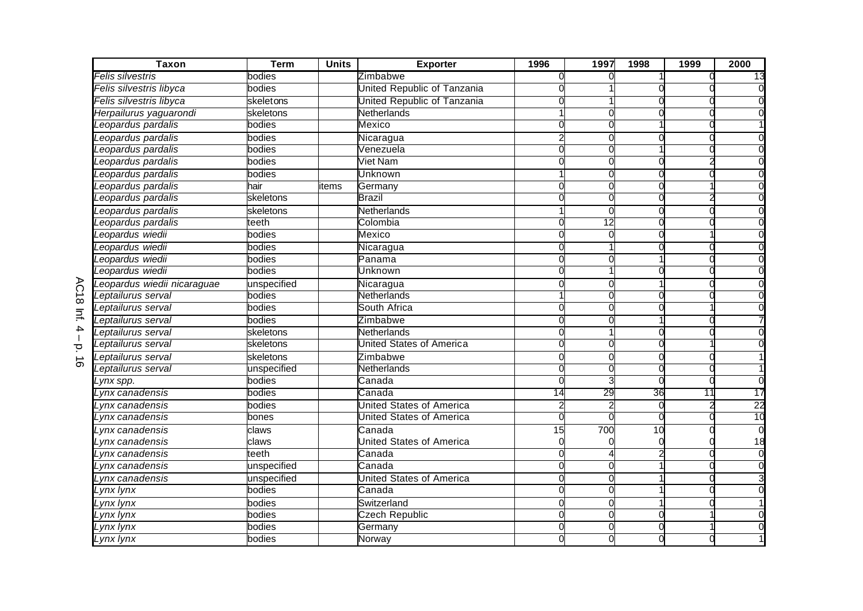| <b>Taxon</b>                 | <b>Term</b> | <b>Units</b> | <b>Exporter</b>                 | 1996     | 1997            | 1998 | 1999            | 2000            |
|------------------------------|-------------|--------------|---------------------------------|----------|-----------------|------|-----------------|-----------------|
| <sup>=</sup> elis silvestris | bodies      |              | Zimbabwe                        |          |                 |      |                 | 13              |
| Felis silvestris libyca      | bodies      |              | United Republic of Tanzania     |          |                 |      |                 |                 |
| Felis silvestris libyca      | skeletons   |              | United Republic of Tanzania     |          |                 |      |                 |                 |
| Herpailurus yaguarondi       | skeletons   |              | Netherlands                     |          |                 |      |                 |                 |
| eopardus pardalis            | bodies      |              | Mexico                          |          |                 |      |                 |                 |
| eopardus pardalis            | bodies      |              | Nicaragua                       |          |                 |      |                 |                 |
| eopardus pardalis            | bodies      |              | Venezuela                       |          |                 |      |                 |                 |
| eopardus pardalis            | bodies      |              | <b>Viet Nam</b>                 |          |                 |      |                 |                 |
| eopardus pardalis            | bodies      |              | <b>Unknown</b>                  |          |                 |      |                 |                 |
| eopardus pardalis            | hair        | tems         | Germany                         |          |                 |      |                 |                 |
| eopardus pardalis            | skeletons   |              | <b>Brazil</b>                   |          |                 |      |                 |                 |
| eopardus pardalis            | skeletons   |              | <b>Netherlands</b>              |          | $\Omega$        |      |                 |                 |
| eopardus pardalis            | teeth       |              | Colombia                        |          | $\overline{12}$ |      |                 |                 |
| eopardus wiedii              | bodies      |              | Mexico                          |          | 0               |      |                 |                 |
| eopardus wiedii              | bodies      |              | Nicaragua                       | 0        |                 |      |                 |                 |
| eopardus wiedii              | bodies      |              | Panama                          |          |                 |      |                 |                 |
| Leopardus wiedii             | bodies      |              | Unknown                         |          |                 |      |                 |                 |
| Leopardus wiedii nicaraguae  | unspecified |              | Nicaragua                       |          |                 |      |                 |                 |
| Leptailurus serval           | bodies      |              | Netherlands                     |          |                 |      |                 |                 |
| Leptailurus serval           | bodies      |              | South Africa                    |          |                 |      |                 |                 |
| eptailurus serval            | bodies      |              | Zimbabwe                        |          |                 |      |                 |                 |
| eptailurus serval            | skeletons   |              | <b>Netherlands</b>              |          |                 |      |                 |                 |
| eptailurus serval            | skeletons   |              | <b>United States of America</b> |          |                 |      |                 |                 |
| eptailurus serval            | skeletons   |              | Zimbabwe                        |          |                 |      |                 |                 |
| Leptailurus serval           | unspecified |              | Netherlands                     |          |                 |      |                 |                 |
| Lynx spp.                    | bodies      |              | Canada                          |          |                 |      |                 |                 |
| vnx canadensis               | bodies      |              | Canada                          | 14       | 29              | 36   | $\overline{11}$ | 17              |
| ynx canadensis               | bodies      |              | <b>United States of America</b> |          |                 |      |                 | 22              |
| vnx canadensis.              | bones       |              | <b>United States of America</b> | $\Omega$ | $\Omega$        | O    |                 | $\overline{10}$ |
| ynx canadensis               | claws       |              | Canada                          | 15       | 700             | 10   |                 |                 |
| ynx canadensis               | claws       |              | <b>United States of America</b> |          |                 |      |                 | 18              |
| Lynx canadensis              | teeth       |              | Canada                          |          |                 |      |                 |                 |
| ynx canadensis               | unspecified |              | Canada                          | $\Omega$ |                 |      |                 |                 |
| ynx canadensis               | unspecified |              | <b>United States of America</b> |          |                 |      |                 |                 |
| Lynx lynx                    | bodies      |              | Canada                          |          |                 |      |                 |                 |
| ynx lynx                     | bodies      |              | Switzerland                     | C        | O               |      |                 |                 |
| ynx lynx                     | bodies      |              | <b>Czech Republic</b>           |          | $\Omega$        |      |                 |                 |
| ynx lynx.                    | bodies      |              | Germany                         |          |                 |      |                 |                 |
| Lynx lynx                    | bodies      |              | Norway                          |          |                 |      |                 |                 |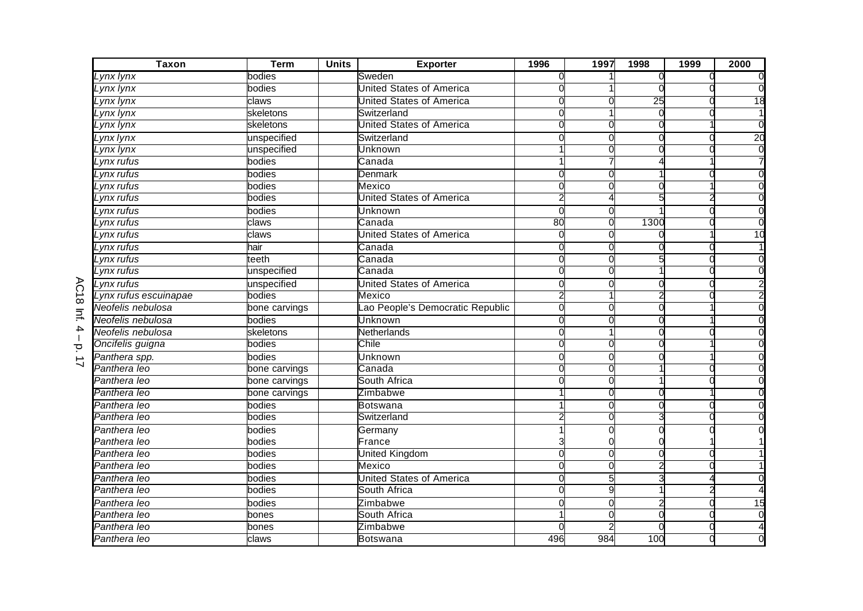| <b>Taxon</b>                | <b>Term</b>   | <b>Units</b> | <b>Exporter</b>                 | 1996     | 1997 | 1998 | 1999 | 2000            |
|-----------------------------|---------------|--------------|---------------------------------|----------|------|------|------|-----------------|
| Lynx lynx                   | bodies        |              | Sweden                          |          |      |      |      |                 |
| Lynx lynx                   | bodies        |              | United States of America        |          |      |      |      |                 |
| Lynx lynx                   | claws         |              | United States of America        |          |      | 25   |      | 18              |
| Lynx lynx                   | skeletons     |              | Switzerland                     |          |      |      |      |                 |
| Lynx lynx                   | skeletons     |              | United States of America        |          |      |      |      |                 |
| Lynx lynx                   | unspecified   |              | Switzerland                     |          |      |      |      | $\overline{20}$ |
| ynx lynx                    | unspecified   |              | Unknown                         |          |      |      |      |                 |
| $'$ ynx rufu $\overline{s}$ | bodies        |              | Canada                          |          |      |      |      |                 |
| Lynx rufus                  | bodies        |              | Denmark                         |          |      |      |      |                 |
| Lynx rufus                  | bodies        |              | Mexico                          |          |      |      |      |                 |
| Lynx rufus                  | bodies        |              | United States of America        |          |      |      |      |                 |
| Lynx rufus                  | bodies        |              | Unknown                         | $\Omega$ | O    |      |      | $\Omega$        |
| Lynx rufus                  | claws         |              | Canada                          | 80       |      | 1300 |      |                 |
| ynx rufus                   | claws         |              | United States of America        | 0        | O    |      |      | $\overline{10}$ |
| _ynx rufus                  | hair          |              | Canada                          | 0        | O    |      |      |                 |
| Lynx rufus                  | teeth         |              | Canada                          | $\Omega$ | O    |      |      |                 |
| Lynx rufus                  | unspecified   |              | Canada                          |          |      |      |      |                 |
| Lynx rufus                  | unspecified   |              | United States of America        |          |      |      |      |                 |
| Lynx rufus escuinapae       | bodies        |              | Mexico                          |          |      |      |      |                 |
| Neofelis nebulosa           | bone carvings |              | ao People's Democratic Republic | $\Omega$ |      |      |      |                 |
| Neofelis nebulosa           | bodies        |              | Unknown                         |          |      |      |      |                 |
| Neofelis nebulosa           | skeletons     |              | Netherlands                     | O        |      |      |      |                 |
| Oncifelis guigna            | bodies        |              | Chile                           |          |      |      |      |                 |
| Panthera spp.               | bodies        |              | Unknown                         |          |      |      |      |                 |
| Panthera leo                | bone carvings |              | Canada                          |          |      |      |      |                 |
| Panthera leo                | bone carvings |              | South Africa                    |          |      |      |      |                 |
| Panthera leo                | bone carvings |              | Zimbabwe                        |          |      |      |      |                 |
| Panthera leo                | bodies        |              | <b>Botswana</b>                 |          |      |      |      |                 |
| Panthera leo                | bodies        |              | Switzerland                     |          |      |      |      |                 |
| Panthera leo                | bodies        |              | Germany                         |          |      |      |      |                 |
| Panthera leo                | bodies        |              | France                          |          |      |      |      |                 |
| Panthera leo                | bodies        |              | United Kingdom                  | $\Omega$ |      |      |      |                 |
| Panthera leo                | bodies        |              | Mexico                          |          |      |      |      |                 |
| Panthera leo                | bodies        |              | United States of America        |          |      |      |      |                 |
| Panthera leo                | bodies        |              | South Africa                    |          | Q    |      |      |                 |
| Panthera leo                | bodies        |              | Zimbabwe                        | O        | O    |      |      | $\frac{1}{5}$   |
| Panthera leo                | bones         |              | South Africa                    |          | O    |      |      | $\Omega$        |
| Panthera leo                | bones         |              | Zimbabwe                        |          |      |      |      |                 |
| Panthera leo                | claws         |              | <b>Botswana</b>                 | 496      | 984  | 100  |      |                 |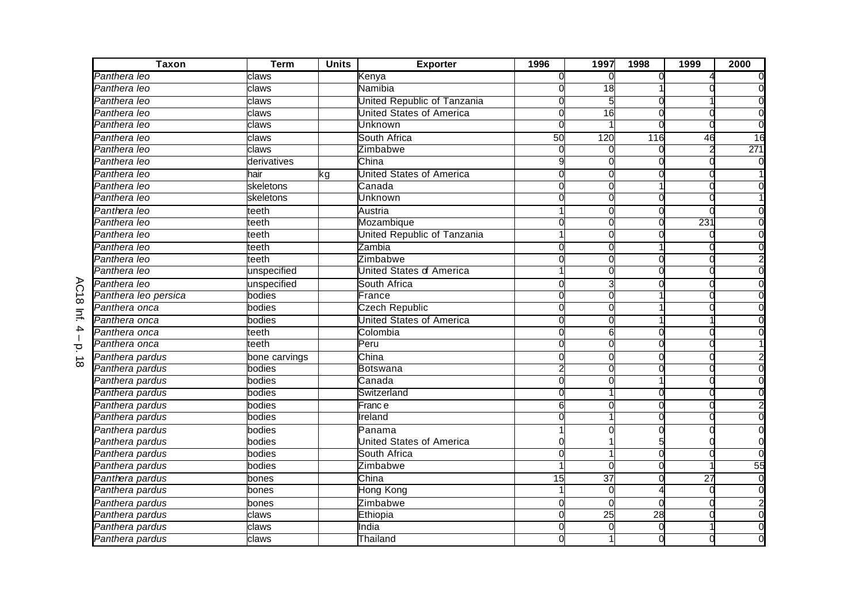| <b>Taxon</b>         | <b>Term</b>   | <b>Units</b> | <b>Exporter</b>                 | 1996 | 1997            | 1998 | 1999 | 2000          |
|----------------------|---------------|--------------|---------------------------------|------|-----------------|------|------|---------------|
| Panthera leo         | claws         |              | Kenya                           |      |                 |      |      |               |
| Panthera leo         | claws         |              | Namibia                         |      | $\overline{18}$ |      |      |               |
| Panthera leo         | claws         |              | United Republic of Tanzania     |      |                 |      |      |               |
| Panthera leo         | claws         |              | <b>United States of America</b> |      | 16              |      |      |               |
| Panthera leo         | claws         |              | Unknown                         |      |                 |      |      |               |
| Panthera leo         | claws         |              | South Africa                    | 50   | 120             | 116  | 46   | $\frac{1}{6}$ |
| Panthera leo         | claws         |              | Zimbabwe                        |      |                 |      |      | 271           |
| Panthera leo         | derivatives   |              | China                           |      |                 |      |      |               |
| Panthera leo         | hair          | kg           | <b>United States of America</b> |      |                 |      |      |               |
| Panthera leo         | skeletons     |              | Canada                          |      |                 |      |      |               |
| Panthera leo         | skeletons     |              | Unknown                         |      |                 |      |      |               |
| Panthera leo         | teeth         |              | Austria                         |      | $\Omega$        |      |      |               |
| Panthera leo         | teeth         |              | Mozambique                      |      |                 |      | 231  |               |
| Panthera leo         | teeth         |              | United Republic of Tanzania     |      | O               |      |      |               |
| Panthera leo         | teeth         |              | Zambia                          | 0    | 0               |      |      |               |
| Panthera leo         | teeth         |              | Zimbabwe                        |      | 0               |      |      |               |
| Panthera leo         | unspecified   |              | <b>United States of America</b> |      |                 |      |      |               |
| Panthera leo         | unspecified   |              | South Africa                    | C    |                 |      |      |               |
| Panthera leo persica | bodies        |              | France                          |      |                 |      |      |               |
| Panthera onca        | bodies        |              | <b>Czech Republic</b>           |      |                 |      |      |               |
| Panthera onca        | bodies        |              | <b>United States of America</b> |      |                 |      |      |               |
| Panthera onca        | teeth         |              | Colombia                        |      | 6               |      |      |               |
| Panthera onca        | teeth         |              | Peru                            |      |                 |      |      |               |
| Panthera pardus      | bone carvings |              | China                           |      |                 |      |      |               |
| Panthera pardus      | bodies        |              | <b>Botswana</b>                 |      |                 |      |      |               |
| Panthera pardus      | bodies        |              | Canada                          |      |                 |      |      |               |
| Panthera pardus      | bodies        |              | Switzerland                     |      |                 |      |      |               |
| Panthera pardus      | bodies        |              | Franc e                         | 6    |                 |      |      |               |
| Panthera pardus      | bodies        |              | Ireland                         |      |                 |      |      |               |
| Panthera pardus      | bodies        |              | Panama                          |      |                 |      |      |               |
| Panthera pardus      | bodies        |              | <b>United States of America</b> |      |                 |      |      |               |
| Panthera pardus      | bodies        |              | South Africa                    |      |                 |      |      |               |
| Panthera pardus      | bodies        |              | Zimbabwe                        |      | $\Omega$        |      |      | 55            |
| Panthera pardus      | bones         |              | China                           | 15   | $\overline{37}$ |      | 27   |               |
| Panthera pardus      | bones         |              | Hong Kong                       |      | $\cap$          |      |      |               |
| Panthera pardus      | bones         |              | Zimbabwe                        | C    | O               | O    |      |               |
| Panthera pardus      | claws         |              | Ethiopia                        | U    | $\overline{25}$ | 28   |      |               |
| Panthera pardus      | claws         |              | India                           |      |                 |      |      |               |
| Panthera pardus      | claws         |              | Thailand                        |      |                 |      |      |               |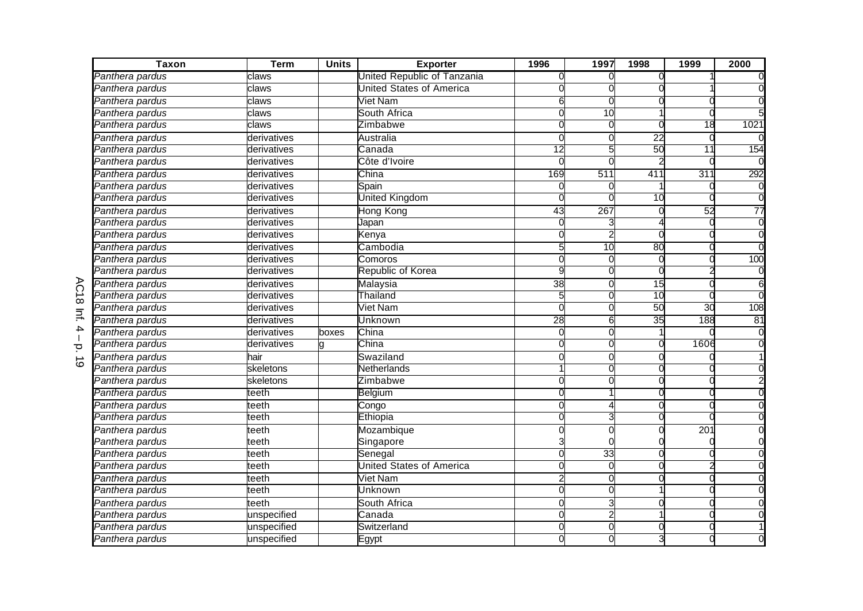| <b>Taxon</b>    | <b>Term</b> | <b>Units</b> | <b>Exporter</b>                 | 1996            | 1997            | 1998            | 1999            | 2000            |
|-----------------|-------------|--------------|---------------------------------|-----------------|-----------------|-----------------|-----------------|-----------------|
| Panthera pardus | claws       |              | United Republic of Tanzania     |                 |                 |                 |                 |                 |
| Panthera pardus | claws       |              | <b>United States of America</b> |                 |                 |                 |                 |                 |
| Panthera pardus | claws       |              | Viet Nam                        | 6               |                 |                 |                 |                 |
| Panthera pardus | claws       |              | South Africa                    |                 | $\overline{10}$ |                 |                 |                 |
| Panthera pardus | claws       |              | Zimbabwe                        |                 |                 |                 | 18              | 1021            |
| Panthera pardus | derivatives |              | Australia                       |                 |                 | $\overline{22}$ |                 |                 |
| Panthera pardus | derivatives |              | Canada                          | $\overline{12}$ |                 | 50              | $\overline{11}$ | 154             |
| Panthera pardus | derivatives |              | Côte d'Ivoire                   |                 |                 |                 |                 |                 |
| Panthera pardus | derivatives |              | China                           | 169             | 511             | 411             | 311             | 292             |
| Panthera pardus | derivatives |              | Spain                           |                 |                 |                 |                 |                 |
| Panthera pardus | derivatives |              | United Kingdom                  |                 |                 | 10              |                 | $\Omega$        |
| Panthera pardus | derivatives |              | Hong Kong                       | $\overline{43}$ | 267             |                 | 52              | $\overline{77}$ |
| Panthera pardus | derivatives |              | Japan                           |                 |                 |                 |                 |                 |
| Panthera pardus | derivatives |              | Kenya                           |                 |                 |                 |                 |                 |
| Panthera pardus | derivatives |              | Cambodia                        | 5               | 10              | 80              |                 | $\Omega$        |
| Panthera pardus | derivatives |              | Comoros                         |                 |                 |                 |                 | 100             |
| Panthera pardus | derivatives |              | Republic of Korea               | g               |                 |                 |                 |                 |
| Panthera pardus | derivatives |              | Malaysia                        | 38              | $\Omega$        | 15              |                 |                 |
| Panthera pardus | derivatives |              | Thailand                        |                 |                 | 10              |                 |                 |
| Panthera pardus | derivatives |              | <b>Viet Nam</b>                 |                 | $\Omega$        | 50              | 30              | 108             |
| Panthera pardus | derivatives |              | Unknown                         | 28              | 6               | 35              | 188             | 81              |
| Panthera pardus | derivatives | boxes        | China                           | $\Omega$        | O               |                 |                 |                 |
| Panthera pardus | derivatives |              | China                           |                 |                 |                 | 1606            |                 |
| Panthera pardus | hair        |              | Swaziland                       |                 |                 |                 |                 |                 |
| Panthera pardus | skeletons   |              | Netherlands                     |                 |                 |                 |                 |                 |
| Panthera pardus | skeletons   |              | Zimbabwe                        |                 |                 |                 |                 |                 |
| Panthera pardus | teeth       |              | Belgium                         |                 |                 |                 |                 |                 |
| Panthera pardus | teeth       |              | Congo                           | U               |                 |                 |                 |                 |
| Panthera pardus | teeth       |              | Ethiopia                        | O               |                 |                 |                 |                 |
| Panthera pardus | teeth       |              | Mozambique                      |                 |                 |                 | 201             |                 |
| Panthera pardus | teeth       |              | Singapore                       |                 |                 |                 |                 |                 |
| Panthera pardus | teeth       |              | Senegal                         | $\Omega$        | 33              |                 |                 |                 |
| Panthera pardus | teeth       |              | <b>United States of America</b> | $\Omega$        | $\Omega$        |                 |                 |                 |
| Panthera pardus | teeth       |              | Viet Nam                        |                 |                 |                 |                 |                 |
| Panthera pardus | teeth       |              | Unknown                         |                 | O               |                 |                 |                 |
| Panthera pardus | teeth       |              | South Africa                    | O               |                 |                 |                 |                 |
| Panthera pardus | unspecified |              | Canada                          | O               |                 |                 |                 |                 |
| Panthera pardus | unspecified |              | Switzerland                     |                 | O               |                 |                 |                 |
| Panthera pardus | unspecified |              | Egypt                           |                 |                 |                 |                 |                 |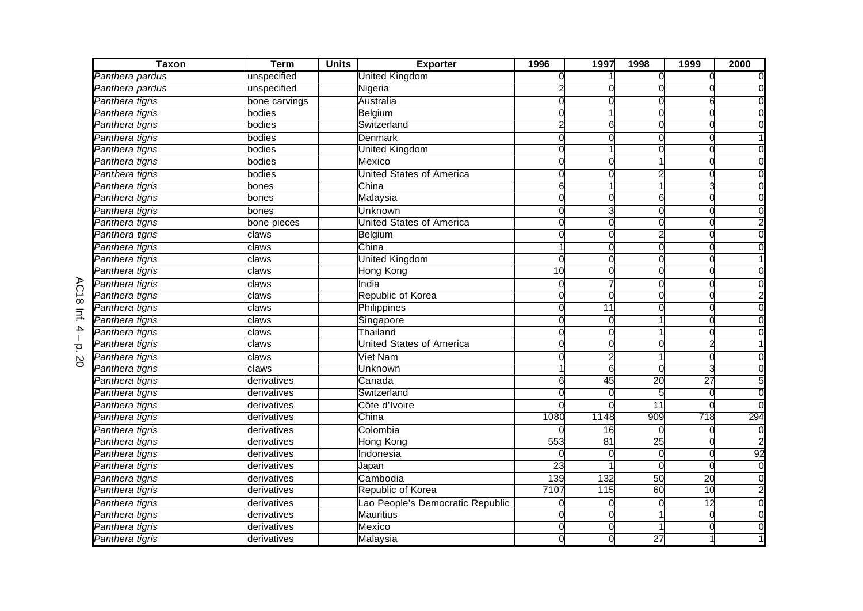| $\overline{Tax}$ on | <b>Term</b>   | <b>Units</b> | <b>Exporter</b>                 | 1996            | 1997             | 1998            | 1999            | 2000     |
|---------------------|---------------|--------------|---------------------------------|-----------------|------------------|-----------------|-----------------|----------|
| Panthera pardus     | unspecified   |              | United Kingdom                  |                 |                  |                 |                 |          |
| Panthera pardus     | unspecified   |              | Nigeria                         |                 |                  |                 |                 |          |
| Panthera tigris     | bone carvings |              | Australia                       |                 |                  |                 |                 |          |
| Panthera tigris     | bodies        |              | <b>Belgium</b>                  |                 |                  |                 |                 |          |
| Panthera tigris     | bodies        |              | Switzerland                     |                 | 6                |                 |                 |          |
| Panthera tigris     | bodies        |              | <b>Denmark</b>                  | C               |                  |                 |                 |          |
| Panthera tigris     | bodies        |              | United Kingdom                  | 0               |                  |                 |                 |          |
| Panthera tigris     | bodies        |              | Mexico                          | 0               | O                |                 |                 |          |
| Panthera tigris     | bodies        |              | United States of America        |                 |                  |                 |                 |          |
| Panthera tigris     | bones         |              | China                           | 6               |                  |                 |                 |          |
| Panthera tigris     | bones         |              | Malaysia                        |                 |                  |                 |                 |          |
| Panthera tigris     | bones         |              | Unknown                         |                 |                  |                 |                 |          |
| Panthera tigris     | bone pieces   |              | United States of America        |                 |                  |                 |                 |          |
| Panthera tigris     | claws         |              | Belgium                         |                 |                  |                 |                 |          |
| Panthera tigris     | claws         |              | China                           |                 | C                | O               |                 |          |
| Panthera tigris     | claws         |              | <b>United Kingdom</b>           | C               |                  |                 |                 |          |
| Panthera tigris     | claws         |              | Hong Kong                       | $\overline{10}$ |                  |                 |                 |          |
| Panthera tigris     | claws         |              | India                           | $\Omega$        |                  |                 |                 |          |
| Panthera tigris     | claws         |              | Republic of Korea               |                 | O                |                 |                 |          |
| Panthera tigris     | claws         |              | Philippines                     | C               | 11               |                 |                 |          |
| Panthera tigris     | claws         |              | Singapore                       |                 |                  |                 |                 |          |
| Panthera tigris     | claws         |              | Thailand                        |                 | O                |                 |                 |          |
| Panthera tigris     | claws         |              | <b>United States of America</b> |                 |                  |                 |                 |          |
| Panthera tigris     | claws         |              | <b>Viet Nam</b>                 |                 |                  |                 |                 |          |
| Panthera tigris     | claws         |              | Unknown                         |                 | 6                |                 |                 |          |
| Panthera tigris     | derivatives   |              | Canada                          | 6               | $\overline{45}$  | $\overline{20}$ | $\overline{27}$ |          |
| Panthera tigris     | derivatives   |              | Switzerland                     |                 |                  |                 |                 | $\Omega$ |
| Panthera tigris     | derivatives   |              | Côte d'Ivoire                   |                 |                  | 11              |                 | $\Omega$ |
| Panthera tigris     | derivatives   |              | China                           | 1080            | 1148             | 909             | 718             | 294      |
| Panthera tigris     | derivatives   |              | Colombia                        |                 | 16               |                 |                 |          |
| Panthera tigris     | derivatives   |              | Hong Kong                       | 553             | 81               | 25              |                 |          |
| Panthera tigris     | derivatives   |              | Indonesia                       |                 |                  | $\Omega$        |                 | 92       |
| Panthera tigris     | derivatives   |              | Japan                           | $\overline{23}$ |                  |                 |                 | $\Omega$ |
| Panthera tigris     | derivatives   |              | Cambodia                        | 139             | 132              | $\overline{50}$ | $\overline{20}$ |          |
| Panthera tigris     | derivatives   |              | Republic of Korea               | 7107            | $\overline{115}$ | 60              | 10              |          |
| Panthera tigris     | derivatives   |              | ao People's Democratic Republic |                 | O                |                 | $\overline{12}$ |          |
| Panthera tigris     | derivatives   |              | <b>Mauritius</b>                |                 | C                |                 | ſ               |          |
| Panthera tigris     | derivatives   |              | Mexico                          |                 |                  |                 |                 |          |
| Panthera tigris     | derivatives   |              | Malaysia                        |                 |                  | $\overline{27}$ |                 |          |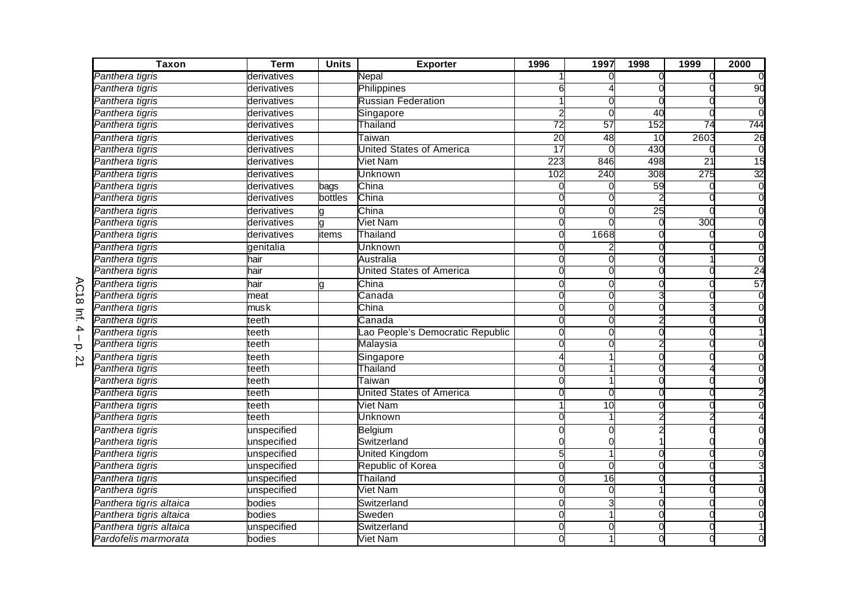| <b>Taxon</b>            | <b>Term</b> | <b>Units</b> | <b>Exporter</b>                 | 1996             | 1997            | 1998            | 1999            | 2000           |
|-------------------------|-------------|--------------|---------------------------------|------------------|-----------------|-----------------|-----------------|----------------|
| Panthera tigris         | derivatives |              | Nepal                           |                  |                 |                 |                 |                |
| Panthera tigris         | derivatives |              | Philippines                     |                  |                 |                 |                 | 90             |
| Panthera tigris         | derivatives |              | <b>Russian Federation</b>       |                  |                 |                 |                 |                |
| Panthera tigris         | derivatives |              | Singapore                       |                  |                 | 40              |                 |                |
| Panthera tigris         | derivatives |              | Thailand                        | 72               | 57              | 152             | 74              | 744            |
| Panthera tigris         | derivatives |              | Taiwan                          | 20               | 48              | $\overline{10}$ | 2603            | 26             |
| Panthera tigris         | derivatives |              | United States of America        | $\overline{17}$  |                 | 430             |                 |                |
| Panthera tigris         | derivatives |              | Viet Nam                        | $\overline{223}$ | 846             | 498             | $\overline{21}$ | 15             |
| Panthera tigris         | derivatives |              | Unknown                         | 102              | 240             | 308             | 275             | 32             |
| Panthera tigris         | derivatives | bags         | China                           |                  |                 | 59              |                 | $\overline{0}$ |
| Panthera tigris         | derivatives | bottles      | China                           |                  |                 |                 |                 | $\Omega$       |
| Panthera tigris         | derivatives |              | China                           |                  | C               | $\overline{25}$ |                 |                |
| Panthera tigris         | derivatives | a            | Viet Nam                        |                  |                 |                 | 300             |                |
| Panthera tigris         | derivatives | items        | Thailand                        | O                | 1668            |                 |                 |                |
| Panthera tigris         | genitalia   |              | <b>Unknown</b>                  |                  |                 |                 |                 |                |
| Panthera tigris         | hair        |              | Australia                       |                  |                 |                 |                 |                |
| Panthera tigris         | hair        |              | <b>United States of America</b> |                  |                 |                 |                 | 24             |
| Panthera tigris         | hair        | a            | China                           | O                | $\Omega$        |                 |                 | 57             |
| Panthera tigris         | meat        |              | Canada                          |                  |                 |                 |                 |                |
| Panthera tigris         | mus k       |              | China                           |                  |                 |                 |                 |                |
| Panthera tigris         | teeth       |              | Canada                          |                  |                 |                 |                 |                |
| Panthera tigris         | teeth       |              | ao People's Democratic Republic | O                | O               |                 |                 |                |
| Panthera tigris         | teeth       |              | Malaysia                        |                  |                 |                 |                 |                |
| Panthera tigris         | teeth       |              | Singapore                       |                  |                 |                 |                 |                |
| Panthera tigris         | teeth       |              | Thailand                        |                  |                 |                 |                 |                |
| Panthera tigris         | teeth       |              | Taiwan                          |                  |                 |                 |                 |                |
| Panthera tigris         | teeth       |              | <b>United States of America</b> |                  |                 |                 |                 |                |
| Panthera tigris         | teeth       |              | Viet Nam                        |                  | $\overline{10}$ |                 |                 |                |
| Panthera tigris         | teeth       |              | Unknown                         |                  |                 |                 |                 |                |
| Panthera tigris         | unspecified |              | <b>Belgium</b>                  |                  |                 |                 |                 |                |
| Panthera tigris         | unspecified |              | Switzerland                     |                  |                 |                 |                 |                |
| Panthera tigris         | unspecified |              | <b>United Kingdom</b>           |                  |                 |                 |                 |                |
| Panthera tigris         | unspecified |              | Republic of Korea               | $\Omega$         | $\Omega$        |                 |                 |                |
| Panthera tigris         | unspecified |              | Thailand                        |                  | 16              |                 |                 |                |
| Panthera tigris         | unspecified |              | <b>Viet Nam</b>                 |                  | $\Omega$        |                 |                 |                |
| Panthera tigris altaica | bodies      |              | Switzerland                     | C                |                 |                 |                 |                |
| Panthera tigris altaica | bodies      |              | Sweden                          |                  |                 |                 |                 |                |
| Panthera tigris altaica | unspecified |              | Switzerland                     |                  |                 |                 |                 |                |
| Pardofelis marmorata    | bodies      |              | <b>Viet Nam</b>                 |                  |                 |                 |                 |                |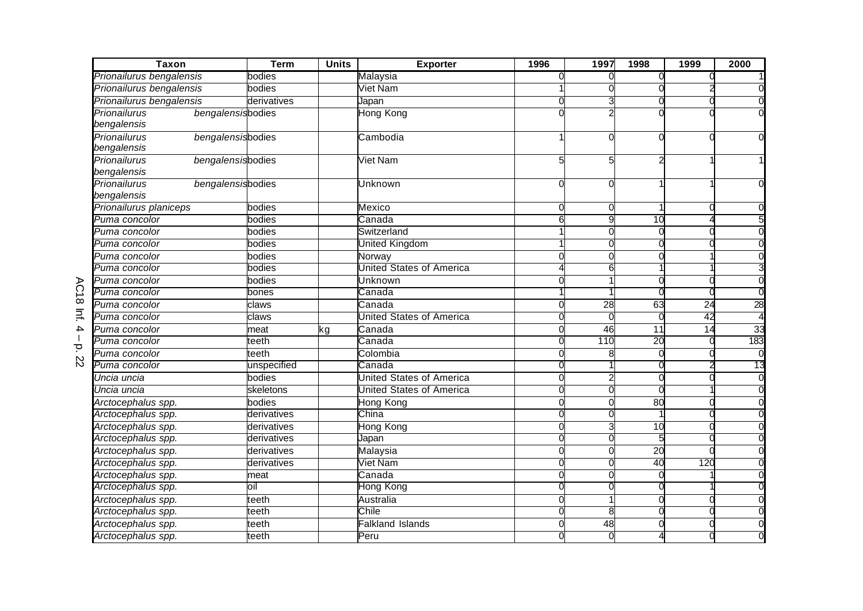| <b>Taxon</b>                      | <b>Term</b> | <b>Units</b> | <b>Exporter</b>                 | 1996     | 1997            | 1998            | 1999            | 2000 |
|-----------------------------------|-------------|--------------|---------------------------------|----------|-----------------|-----------------|-----------------|------|
| Prionailurus bengalensis          | bodies      |              | Malaysia                        |          |                 |                 |                 |      |
| Prionailurus bengalensis          | bodies      |              | Viet Nam                        |          |                 |                 |                 |      |
| Prionailurus bengalensis          | derivatives |              | Japan                           |          |                 |                 |                 |      |
| Prionailurus<br>bengalensisbodies |             |              | <b>Hong Kong</b>                |          |                 |                 |                 |      |
| bengalensis                       |             |              |                                 |          |                 |                 |                 |      |
| Prionailurus<br>bengalensisbodies |             |              | Cambodia                        |          |                 |                 |                 |      |
| bengalensis                       |             |              |                                 |          |                 |                 |                 |      |
| Prionailurus<br>bengalensisbodies |             |              | <b>Viet Nam</b>                 |          |                 |                 |                 |      |
| bengalensis                       |             |              |                                 |          |                 |                 |                 |      |
| Prionailurus<br>bengalensisbodies |             |              | Unknown                         |          |                 |                 |                 |      |
| bengalensis                       |             |              |                                 |          |                 |                 |                 |      |
| Prionailurus planiceps            | bodies      |              | Mexico                          | $\Omega$ | O               |                 |                 |      |
| Puma concolor                     | bodies      |              | Canada                          | ട        | 9               | 10              |                 |      |
| Puma concolor                     | bodies      |              | Switzerland                     |          |                 |                 |                 |      |
| Puma concolor                     | bodies      |              | United Kingdom                  |          |                 |                 |                 |      |
| Puma concolor                     | bodies      |              | Norway                          |          |                 |                 |                 |      |
| Puma concolor                     | bodies      |              | <b>United States of America</b> |          | 6               |                 |                 |      |
| Puma concolor                     | bodies      |              | Unknown                         |          |                 |                 |                 |      |
| Puma concolor                     | bones       |              | Canada                          |          |                 |                 |                 |      |
| Puma concolor                     | claws       |              | Canada                          |          | $\overline{28}$ | 63              | $\overline{24}$ | 28   |
| Puma concolor                     | claws       |              | United States of America        |          |                 |                 | 42              |      |
| Puma concolor                     | meat        | ٢g           | $\overline{\mathtt{C}}$ anada   | O        | 46              | 11              | 14              | 33   |
| Puma concolor                     | teeth       |              | Canada                          |          | 110             | 20              |                 | 183  |
| Puma concolor                     | teeth       |              | Colombia                        | C        |                 |                 |                 |      |
| Puma concolor                     | unspecified |              | Canada                          | ∩        |                 |                 |                 | 13   |
| Uncia uncia                       | bodies      |              | <b>United States of America</b> |          |                 |                 |                 |      |
| Uncia uncia                       | skeletons   |              | United States of America        |          |                 |                 |                 |      |
| Arctocephalus spp.                | bodies      |              | Hong Kong                       | ∩        | C               | 80              |                 |      |
| Arctocephalus spp.                | derivatives |              | China                           |          |                 |                 |                 |      |
| Arctocephalus spp.                | derivatives |              | Hong Kong                       | O        |                 | 10              |                 |      |
| Arctocephalus spp.                | derivatives |              | Japan                           |          |                 |                 |                 |      |
| Arctocephalus spp.                | derivatives |              | Malaysia                        |          |                 | $\overline{20}$ |                 |      |
| Arctocephalus spp.                | derivatives |              | Viet Nam                        |          |                 | 40              | 120             |      |
| Arctocephalus spp.                | meat        |              | Canada                          | O        | $\bigcap$       |                 |                 |      |
| Arctocephalus spp.                | oil         |              | Hong Kong                       |          |                 |                 |                 |      |
| Arctocephalus spp.                | teeth       |              | Australia                       |          |                 |                 |                 |      |
| Arctocephalus spp.                | teeth       |              | Chile                           |          | 8               |                 |                 |      |
| Arctocephalus spp.                | teeth       |              | Falkland Islands                |          | 48              |                 |                 |      |
| Arctocephalus spp.                | teeth       |              | Peru                            |          |                 |                 |                 |      |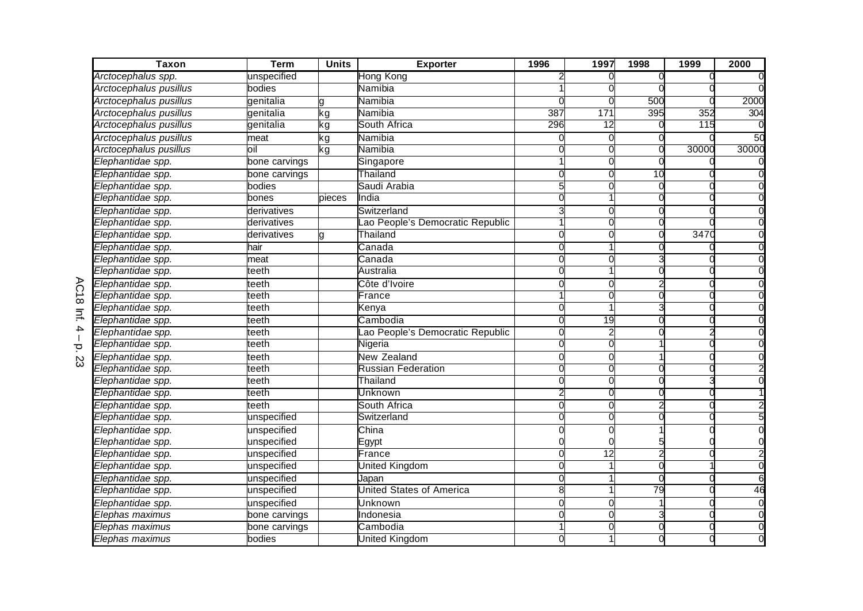| <b>Taxon</b>           | <b>Term</b>   | <b>Units</b> | <b>Exporter</b>                 | 1996     | 1997            | 1998            | 1999  | 2000            |
|------------------------|---------------|--------------|---------------------------------|----------|-----------------|-----------------|-------|-----------------|
| Arctocephalus spp.     | unspecified   |              | Hong Kong                       |          |                 |                 |       |                 |
| Arctocephalus pusillus | bodies        |              | Namibia                         |          |                 |                 |       |                 |
| Arctocephalus pusillus | genitalia     | a            | Namibia                         |          |                 | 500             |       | 2000            |
| Arctocephalus pusillus | genitalia     | kg           | Namibia                         | 387      | 171             | 395             | 352   | 304             |
| Arctocephalus pusillus | genitalia     | ٢g           | South Africa                    | 296      | $\overline{12}$ |                 | 115   |                 |
| Arctocephalus pusillus | meat          | ٢g           | Namibia                         |          |                 |                 |       | 50              |
| Arctocephalus pusillus | oil           | kg           | Namibia                         |          |                 |                 | 30000 | 30000           |
| Elephantidae spp.      | bone carvings |              | Singapore                       |          |                 |                 |       |                 |
| Elephantidae spp.      | bone carvings |              | Thailand                        |          |                 | $\overline{10}$ |       |                 |
| Elephantidae spp.      | bodies        |              | Saudi Arabia                    |          |                 |                 |       |                 |
| Elephantidae spp.      | bones         | pieces       | India                           |          |                 |                 |       |                 |
| Elephantidae spp.      | derivatives   |              | Switzerland                     |          |                 |                 |       |                 |
| Elephantidae spp.      | derivatives   |              | ao People's Democratic Republic |          |                 |                 |       |                 |
| Elephantidae spp.      | derivatives   |              | Thailand                        | U        | O               |                 | 3470  |                 |
| Elephantidae spp.      | hair          |              | Canada                          |          |                 |                 |       |                 |
| Elephantidae spp.      | meat          |              | Canada                          |          |                 |                 |       |                 |
| Elephantidae spp.      | teeth         |              | Australia                       |          |                 |                 |       |                 |
| Elephantidae spp.      | teeth         |              | Côte d'Ivoire                   |          |                 |                 |       |                 |
| Elephantidae spp.      | teeth         |              | France                          |          | C               |                 |       |                 |
| Elephantidae spp.      | teeth         |              | Kenya                           |          |                 |                 |       |                 |
| Elephantidae spp.      | teeth         |              | Cambodia                        |          | 19              |                 |       |                 |
| Elephantidae spp.      | teeth         |              | ao People's Democratic Republic |          |                 |                 |       |                 |
| Elephantidae spp.      | teeth         |              | Nigeria                         |          |                 |                 |       |                 |
| Elephantidae spp.      | teeth         |              | <b>New Zealand</b>              |          |                 |                 |       |                 |
| Elephantidae spp.      | teeth         |              | <b>Russian Federation</b>       |          |                 |                 |       |                 |
| Elephantidae spp.      | teeth         |              | Thailand                        |          |                 |                 |       |                 |
| Elephantidae spp.      | teeth         |              | Unknown                         |          | C               |                 |       |                 |
| Elephantidae spp.      | teeth         |              | South Africa                    |          |                 |                 |       |                 |
| Elephantidae spp.      | unspecified   |              | Switzerland                     |          |                 |                 |       |                 |
| Elephantidae spp.      | unspecified   |              | China                           |          |                 |                 |       |                 |
| Elephantidae spp.      | unspecified   |              | Egypt                           |          |                 |                 |       |                 |
| Elephantidae spp.      | unspecified   |              | France                          |          | $\overline{12}$ |                 |       |                 |
| Elephantidae spp.      | unspecified   |              | United Kingdom                  | O        |                 |                 |       |                 |
| Elephantidae spp.      | unspecified   |              | Japan                           | $\Omega$ |                 | $\Omega$        |       |                 |
| Elephantidae spp.      | unspecified   |              | <b>United States of America</b> | 8        |                 | 79              |       | $\overline{46}$ |
| Elephantidae spp.      | unspecified   |              | Unknown                         |          |                 |                 |       |                 |
| Elephas maximus        | bone carvings |              | Indonesia                       |          |                 |                 |       |                 |
| Elephas maximus        | bone carvings |              | Cambodia                        |          |                 |                 |       |                 |
| Elephas maximus        | bodies        |              | <b>United Kingdom</b>           |          |                 |                 |       |                 |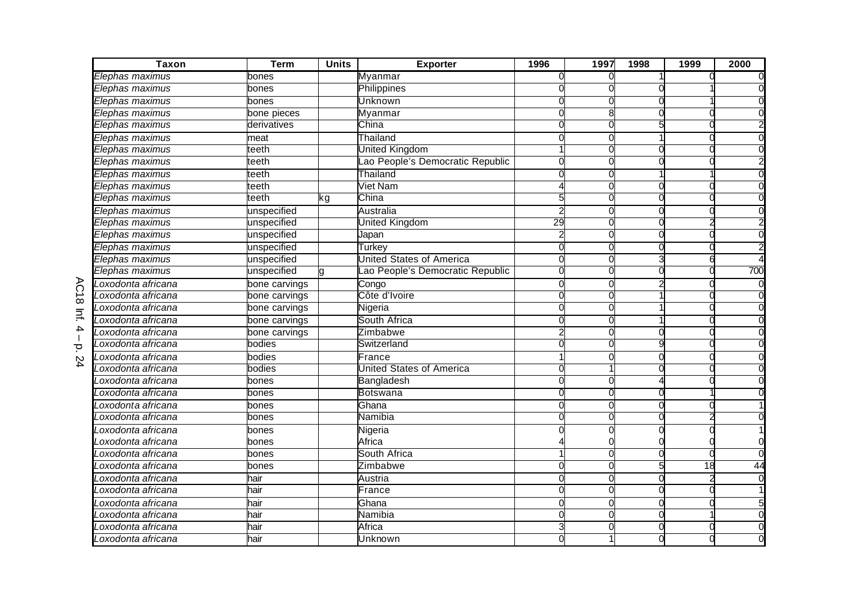| $\overline{Tax}$ on | <b>Term</b>   | <b>Units</b> | <b>Exporter</b>                 | 1996     | 1997     | 1998 | 1999          | 2000 |
|---------------------|---------------|--------------|---------------------------------|----------|----------|------|---------------|------|
| Elephas maximus     | bones         |              | Myanmar                         |          |          |      |               |      |
| Elephas maximus     | bones         |              | Philippines                     |          |          |      |               |      |
| Elephas maximus     | bones         |              | Unknown                         |          |          |      |               |      |
| Elephas maximus     | bone pieces   |              | Myanmar                         |          | 8        |      |               |      |
| Elephas maximus     | derivatives   |              | China                           |          |          |      |               |      |
| Elephas maximus     | meat          |              | Thailand                        |          |          |      |               |      |
| Elephas maximus     | teeth         |              | United Kingdom                  |          | O        |      |               |      |
| Elephas maximus     | teeth         |              | ao People's Democratic Republic |          |          |      |               |      |
| Elephas maximus     | teeth         |              | Thailand                        |          |          |      |               |      |
| Elephas maximus     | teeth         |              | <b>Viet Nam</b>                 |          |          |      |               |      |
| Elephas maximus     | teeth         | kg           | China                           |          |          |      |               |      |
| Elephas maximus     | unspecified   |              | Australia                       |          |          |      |               |      |
| Elephas maximus     | unspecified   |              | <b>Jnited Kingdom</b>           | 29       |          |      |               |      |
| Elephas maximus     | unspecified   |              | Japan                           |          |          |      |               |      |
| Elephas maximus     | unspecified   |              | Turkey                          | O        | O        |      |               |      |
| Elephas maximus     | unspecified   |              | United States of America        |          |          |      |               |      |
| Elephas maximus     | unspecified   |              | ao People's Democratic Republic | O        |          |      |               | 700  |
| Loxodonta africana  | bone carvings |              | Congo                           | $\Omega$ |          |      |               |      |
| oxodonta africana   | bone carvings |              | Côte d'Ivoire                   |          |          |      |               |      |
| oxodonta africana   | bone carvings |              | Nigeria                         |          |          |      |               |      |
| oxodonta africana   | bone carvings |              | South Africa                    |          |          |      |               |      |
| .oxodonta africana  | bone carvings |              | Zimbabwe                        |          |          |      |               |      |
| oxodonta africana.  | bodies        |              | Switzerland                     |          |          |      |               |      |
| oxodonta africana   | bodies        |              | France                          |          |          |      |               |      |
| oxodonta africana   | bodies        |              | United States of America        |          |          |      |               |      |
| oxodonta africana   | bones         |              | Bangladesh                      |          |          |      |               |      |
| oxodonta africana   | bones         |              | Botswana                        |          |          |      |               |      |
| oxodonta africana   | bones         |              | Ghana                           | U        | C        |      |               |      |
| oxodonta africana.  | bones         |              | Namibia                         | 0        |          |      |               |      |
| oxodonta africana   | bones         |              | Nigeria                         |          |          |      |               |      |
| oxodonta africana   | bones         |              | Africa                          |          |          |      |               |      |
| Loxodonta africana  | bones         |              | South Africa                    |          |          |      |               |      |
| Loxodonta africana  | bones         |              | Zimbabwe                        | $\Omega$ | $\Omega$ |      | $\frac{1}{8}$ | 44   |
| oxodonta africana   | hair          |              | Austria                         |          |          |      |               |      |
| oxodonta africana.  | hair          |              | France                          | ∩        | O        |      |               |      |
| _oxodonta africana  | hair          |              | Ghana                           | O        | O        |      |               |      |
| oxodonta africana   | hair          |              | Namibia                         | O        | $\Omega$ |      |               |      |
| oxodonta africana   | hair          |              | Africa                          |          |          |      |               |      |
| Loxodonta africana  | hair          |              | Unknown                         |          |          |      |               |      |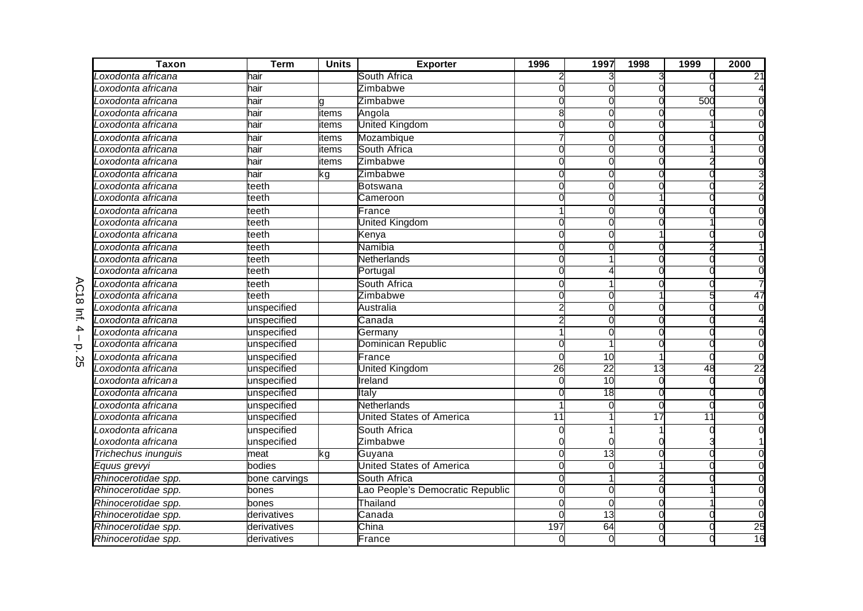| <b>Taxon</b>        | <b>Term</b>   | <b>Units</b> | <b>Exporter</b>                  | 1996     | 1997            | 1998            | 1999 | 2000 |
|---------------------|---------------|--------------|----------------------------------|----------|-----------------|-----------------|------|------|
| oxodonta africana.  | hair          |              | South Africa                     |          |                 |                 |      | 21   |
| Loxodonta africana  | hair          |              | Zimbabwe                         |          |                 |                 |      |      |
| Loxodonta africana  | hair          | g            | Zimbabwe                         |          |                 |                 | 500  |      |
| Loxodonta africana  | hair          | items        | Angola                           | 8        |                 |                 |      |      |
| oxodonta africana.  | hair          | tems         | United Kingdom                   |          |                 |                 |      |      |
| oxodonta africana   | hair          | tems         | Mozambique                       |          |                 |                 |      |      |
| oxodonta africana   | hair          | tems         | South Africa                     |          |                 |                 |      |      |
| oxodonta africana   | hair          | tems         | Zimbabwe                         |          |                 |                 |      |      |
| oxodonta africana   | hair          | kg           | Zimbabwe                         |          |                 |                 |      |      |
| Loxodonta africana  | teeth         |              | Botswana                         |          |                 |                 |      |      |
| Loxodonta africana  | teeth         |              | Cameroon                         |          |                 |                 |      |      |
| Loxodonta africana  | teeth         |              | France                           |          | C               |                 |      |      |
| oxodonta africana   | teeth         |              | United Kingdom                   |          |                 |                 |      |      |
| oxodonta africana   | teeth         |              | Kenya                            |          | $\Omega$        |                 |      |      |
| oxodonta africana.  | teeth         |              | Namibia                          | O        | 0               | C               |      |      |
| Loxodonta africana  | teeth         |              | <b>Netherlands</b>               |          |                 |                 |      |      |
| Loxodonta africana  | teeth         |              | Portugal                         |          |                 |                 |      |      |
| Loxodonta africana  | teeth         |              | South Africa                     | O        |                 |                 |      |      |
| Loxodonta africana  | teeth         |              | Zimbabwe                         |          |                 |                 |      | 47   |
| oxodonta africana   | unspecified   |              | Australia                        |          |                 |                 |      |      |
| oxodonta africana   | unspecified   |              | Canada                           |          |                 |                 |      |      |
| oxodonta africana.  | unspecified   |              | Germany                          |          |                 |                 |      |      |
| oxodonta africana.  | unspecified   |              | Dominican Republic               |          |                 |                 |      |      |
| oxodonta africana   | unspecified   |              | France                           |          | 10              |                 |      |      |
| oxodonta africana.  | unspecified   |              | <b>United Kingdom</b>            | 26       | 22              | $\overline{13}$ | 48   | 22   |
| Loxodonta africana  | unspecified   |              | Ireland                          |          | 10              |                 |      |      |
| Loxodonta africana  | unspecified   |              | Italy                            |          | $\overline{18}$ |                 |      |      |
| oxodonta africana   | unspecified   |              | Netherlands                      |          | $\Omega$        | C               |      |      |
| oxodonta africana.  | unspecified   |              | United States of America         | 11       |                 | 17              | 11   |      |
| Loxodonta africana  | unspecified   |              | South Africa                     |          |                 |                 |      |      |
| Loxodonta africana  | unspecified   |              | Zimbabwe                         |          |                 |                 |      |      |
| Trichechus inunguis | meat          | kg           | Guyana                           | $\Omega$ | $\overline{13}$ |                 |      |      |
| Equus grevyi        | bodies        |              | <b>United States of America</b>  |          | $\Omega$        |                 |      |      |
| Rhinocerotidae spp. | bone carvings |              | South Africa                     |          |                 |                 |      |      |
| Rhinocerotidae spp. | bones         |              | Lao People's Democratic Republic |          |                 |                 |      |      |
| Rhinocerotidae spp. | bones         |              | Thailand                         |          | C               |                 |      |      |
| Rhinocerotidae spp. | derivatives   |              | Canada                           |          | $\overline{13}$ |                 |      |      |
| Rhinocerotidae spp. | derivatives   |              | China                            | 197      | 64              |                 |      | 25   |
| Rhinocerotidae spp. | derivatives   |              | France                           | C        | 0               |                 |      | 16   |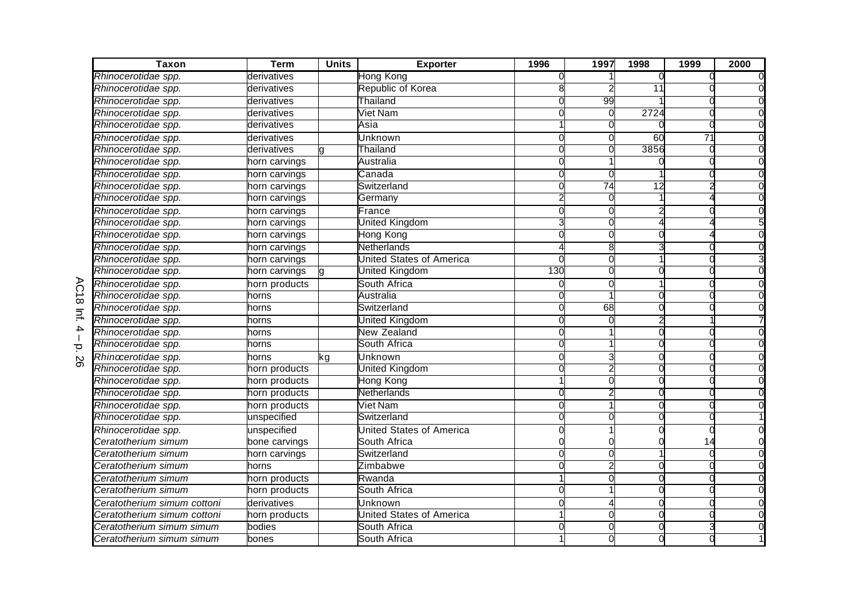| <b>Taxon</b>                | <b>Term</b>   | <b>Units</b> | <b>Exporter</b>                 | 1996          | 1997 | 1998 | 1999 | 2000 |
|-----------------------------|---------------|--------------|---------------------------------|---------------|------|------|------|------|
| Rhinocerotidae spp.         | derivatives   |              | Hong Kong                       |               |      |      |      |      |
| Rhinocerotidae spp.         | derivatives   |              | Republic of Korea               |               |      | 11   |      |      |
| Rhinocerotidae spp.         | derivatives   |              | Thailand                        |               | 99   |      |      |      |
| Rhinocerotidae spp.         | derivatives   |              | Viet Nam                        |               |      | 2724 |      |      |
| Rhinocerotidae spp.         | derivatives   |              | Asia                            |               |      |      |      |      |
| Rhinocerotidae spp.         | derivatives   |              | Unknown                         |               |      | 60   | 71   |      |
| Rhinocerotidae spp.         | derivatives   |              | Thailand                        |               |      | 3856 |      |      |
| Rhinocerotidae spp.         | horn carvings |              | Australia                       |               |      |      |      |      |
| Rhinocerotidae spp.         | horn carvings |              | Canada                          |               |      |      |      |      |
| Rhinocerotidae spp.         | horn carvings |              | Switzerland                     |               | 74   | 12   |      |      |
| Rhinocerotidae spp.         | horn carvings |              | Germany                         |               |      |      |      |      |
| Rhinocerotidae spp.         | horn carvings |              | France                          |               |      |      |      |      |
| Rhinocerotidae spp.         | horn carvings |              | <b>United Kingdom</b>           |               |      |      |      |      |
| Rhinocerotidae spp.         | horn carvings |              | Hong Kong                       |               |      |      |      |      |
| Rhinocerotidae spp.         | horn carvings |              | Netherlands                     |               | 8    |      |      |      |
| Rhinocerotidae spp.         | horn carvings |              | <b>United States of America</b> | $\sqrt{ }$    |      |      |      |      |
| Rhinocerotidae spp.         | horn carvings | la           | <b>United Kingdom</b>           | 130           |      |      |      |      |
| Rhinocerotidae spp.         | horn products |              | South Africa                    |               |      |      |      |      |
| Rhinocerotidae spp.         | horns         |              | Australia                       |               |      |      |      |      |
| Rhinocerotidae spp.         | horns         |              | Switzerland                     |               | 68   |      |      |      |
| Rhinocerotidae spp.         | horns         |              | United Kingdom                  |               |      |      |      |      |
| Rhinocerotidae spp.         | horns         |              | <b>New Zealand</b>              |               |      |      |      |      |
| Rhinocerotidae spp.         | horns         |              | South Africa                    |               |      |      |      |      |
| Rhinocerotidae spp.         | horns         | kg           | Unknown                         |               |      |      |      |      |
| Rhinocerotidae spp.         | horn products |              | United Kingdom                  |               |      |      |      |      |
| Rhinocerotidae spp.         | horn products |              | Hong Kong                       |               |      |      |      |      |
| Rhinocerotidae spp.         | horn products |              | Netherlands                     |               |      |      |      |      |
| Rhinocerotidae spp.         | horn products |              | Viet Nam                        |               |      |      |      |      |
| Rhinocerotidae spp.         | unspecified   |              | Switzerland                     |               |      |      |      |      |
| Rhinocerotidae spp.         | unspecified   |              | <b>United States of America</b> |               |      |      |      |      |
| Ceratotherium simum         | bone carvings |              | South Africa                    |               |      |      |      |      |
| Ceratotherium simum         | horn carvings |              | Switzerland                     | $\mathcal{C}$ |      |      |      |      |
| Ceratotherium simum         | horns         |              | Zimbabwe                        | C             |      |      |      |      |
| Ceratotherium simum         | horn products |              | Rwanda                          |               |      |      |      |      |
| Ceratotherium simum         | horn products |              | South Africa                    |               |      |      |      |      |
| Ceratotherium simum cottoni | derivatives   |              | Unknown                         |               |      |      |      |      |
| Ceratotherium simum cottoni | horn products |              | <b>United States of America</b> |               |      |      |      |      |
| Ceratotherium simum simum   | bodies        |              | South Africa                    |               |      |      |      |      |
| Ceratotherium simum simum   | bones         |              | South Africa                    |               |      |      |      |      |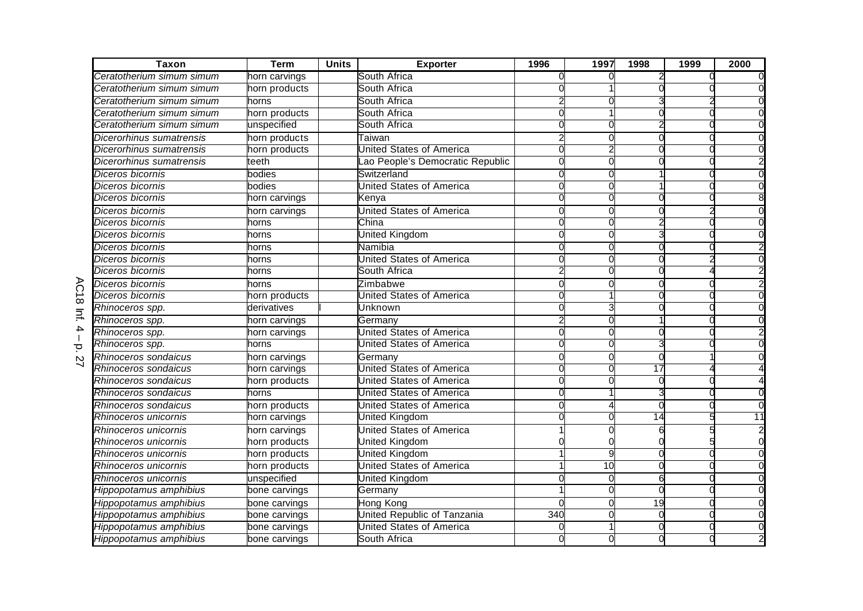| Taxon                     | <b>Term</b>   | <b>Units</b> | <b>Exporter</b>                 | 1996           | 1997            | 1998 | 1999 | 2000 |
|---------------------------|---------------|--------------|---------------------------------|----------------|-----------------|------|------|------|
| Ceratotherium simum simum | horn carvings |              | South Africa                    |                |                 |      |      |      |
| Ceratotherium simum simum | horn products |              | South Africa                    |                |                 |      |      |      |
| Ceratotherium simum simum | horns         |              | South Africa                    |                |                 |      |      |      |
| Ceratotherium simum simum | horn products |              | South Africa                    | $\Omega$       |                 |      |      |      |
| Ceratotherium simum simum | unspecified   |              | South Africa                    |                |                 |      |      |      |
| Dicerorhinus sumatrensis  | horn products |              | Taiwan                          |                |                 |      |      |      |
| Dicerorhinus sumatrensis  | horn products |              | <b>Jnited States of America</b> | 0              |                 |      |      |      |
| Dicerorhinus sumatrensis  | teeth         |              | ao People's Democratic Republic | 0              |                 |      |      |      |
| Diceros bicornis          | bodies        |              | Switzerland                     | 0              |                 |      |      |      |
| Diceros bicornis          | bodies        |              | <b>United States of America</b> | $\Omega$       |                 |      |      |      |
| Diceros bicornis          | horn carvings |              | Kenva                           | $\Omega$       |                 |      |      |      |
| Diceros bicornis          | horn carvings |              | <b>United States of America</b> | $\Omega$       | ſ               |      |      |      |
| Diceros bicornis          | horns         |              | China                           | 0              |                 |      |      |      |
| Diceros bicornis          | horns         |              | <b>United Kingdom</b>           | $\Omega$       |                 |      |      |      |
| Diceros bicornis          | horns         |              | Namibia                         | 0              | ſ               |      |      |      |
| Diceros bicornis          | horns         |              | <b>United States of America</b> | $\mathcal{C}$  |                 |      |      |      |
| Diceros bicornis          | horns         |              | South Africa                    |                |                 |      |      |      |
| Diceros bicornis          | horns         |              | Zimbabwe                        | $\Omega$       |                 |      |      |      |
| Diceros bicornis          | horn products |              | United States of America        | $\Omega$       |                 |      |      |      |
| Rhinoceros spp.           | derivatives   |              | Unknown                         | $\Omega$       |                 |      |      |      |
| Rhinoceros spp.           | horn carvings |              | Germany                         |                |                 |      |      |      |
| Rhinoceros spp.           | horn carvings |              | United States of America        | $\Omega$       |                 |      |      |      |
| Rhinoceros spp.           | horns         |              | United States of America        | $\Omega$       |                 |      |      |      |
| Rhinoceros sondaicus      | horn carvings |              | Germany                         | $\Omega$       |                 |      |      |      |
| Rhinoceros sondaicus      | horn carvings |              | United States of America        | $\Omega$       |                 | 17   |      |      |
| Rhinoceros sondaicus      | horn products |              | <b>United States of America</b> | $\Omega$       |                 |      |      |      |
| Rhinoceros sondaicus      | horns         |              | United States of America        | $\overline{0}$ |                 |      |      |      |
| Rhinoceros sondaicus      | horn products |              | United States of America        | $\Omega$       |                 |      |      |      |
| Rhinoceros unicornis      | horn carvings |              | United Kingdom                  | O              |                 | 14   |      | 11   |
| Rhinoceros unicornis      | horn carvings |              | United States of America        |                |                 |      |      |      |
| Rhinoceros unicornis      | horn products |              | United Kingdom                  |                |                 |      |      |      |
| Rhinoceros unicornis      | horn products |              | <b>United Kingdom</b>           |                | 9               |      |      |      |
| Rhinoceros unicornis      | horn products |              | <b>United States of America</b> |                | $\overline{10}$ |      |      |      |
| Rhinoceros unicornis      | unspecified   |              | <b>United Kingdom</b>           | C              |                 | 6    |      |      |
| Hippopotamus amphibius    | bone carvings |              | Germany                         |                |                 |      |      |      |
| Hippopotamus amphibius    | bone carvings |              | Hong Kong                       | ∩              | ſ               | 19   |      |      |
| Hippopotamus amphibius    | bone carvings |              | United Republic of Tanzania     | 340            | ſ               |      |      |      |
| Hippopotamus amphibius    | bone carvings |              | <b>United States of America</b> | $\mathbf{0}$   |                 |      |      |      |
| Hippopotamus amphibius    | bone carvings |              | South Africa                    |                |                 |      |      |      |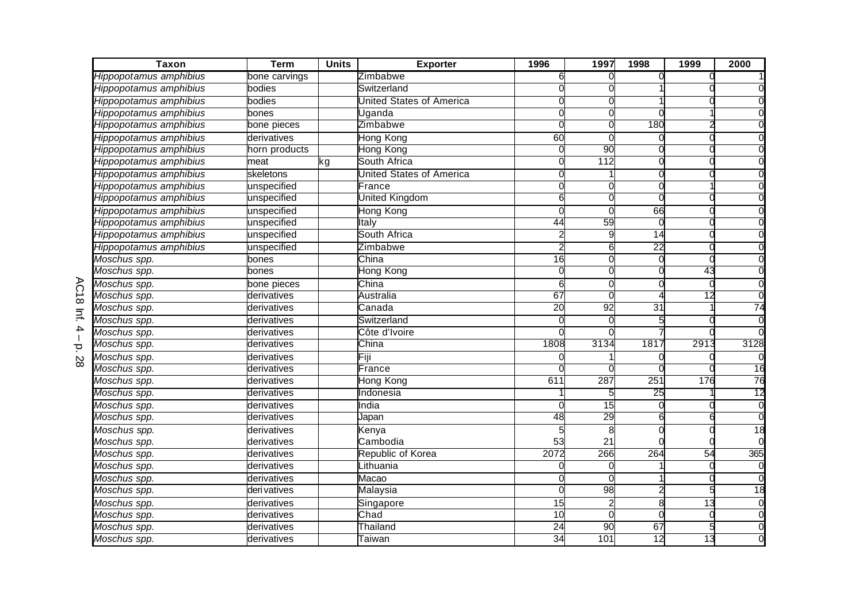| <b>Taxon</b>                        | <b>Term</b>   | <b>Units</b> | <b>Exporter</b>                 | 1996            | 1997            | 1998            | 1999            | 2000            |
|-------------------------------------|---------------|--------------|---------------------------------|-----------------|-----------------|-----------------|-----------------|-----------------|
| Hippopotamus amphibius              | bone carvings |              | Zimbabwe                        |                 |                 |                 |                 |                 |
| Hippopotamus amphibius              | bodies        |              | Switzerland                     |                 |                 |                 |                 |                 |
| Hippopotamus amphibius              | bodies        |              | <b>United States of America</b> |                 |                 |                 |                 |                 |
| Hippopotamus amphibius              | bones         |              | Uganda                          |                 |                 |                 |                 |                 |
| Hippopotamus amphibius              | bone pieces   |              | Zimbabwe                        |                 |                 | 180             |                 |                 |
| Hippopotamus amphibius              | derivatives   |              | Hong Kong                       | 60              |                 |                 |                 |                 |
| Hippopotamus amphibius              | horn products |              | <b>Hong Kong</b>                | 0               | 90              | 0               |                 |                 |
| Hippopotamus amphibius              | meat          | kg           | South Africa                    |                 | 112             |                 |                 |                 |
| Hippopotamus amphibius              | skeletons     |              | United States of America        |                 |                 |                 |                 |                 |
| Hippopotamus amphibius              | unspecified   |              | France                          |                 |                 |                 |                 |                 |
| Hippopotamus amphibius              | unspecified   |              | United Kingdom                  | 6               |                 |                 |                 |                 |
| Hippopotamus amphibius              | unspecified   |              | Hong Kong                       |                 | $\bigcap$       | 66              |                 |                 |
| Hippopotamus amphibius              | unspecified   |              | ltalv                           | 44              | 59              |                 |                 |                 |
| Hippopotamus amphibius              | unspecified   |              | South Africa                    |                 | 9               | 14              |                 |                 |
| Hippopotamus amphibius              | unspecified   |              | Zimbabwe                        |                 | 6               | 22              |                 |                 |
| $\overline{\textit{M}}$ oschus spp. | bones         |              | China                           | 16              |                 |                 |                 |                 |
| Moschus spp.                        | bones         |              | Hong Kong                       |                 |                 |                 | 43              |                 |
| Moschus spp.                        | bone pieces   |              | China                           | F               |                 |                 |                 |                 |
| Moschus spp.                        | derivatives   |              | Australia                       | 67              |                 |                 | $\overline{12}$ |                 |
| Moschus spp.                        | derivatives   |              | Canada                          | $\overline{20}$ | 92              | $\overline{31}$ |                 | $\overline{74}$ |
| Moschus spp.                        | derivatives   |              | Switzerland                     |                 |                 |                 |                 |                 |
| Moschus spp.                        | derivatives   |              | Côte d'Ivoire                   |                 |                 |                 |                 |                 |
| Moschus spp.                        | derivatives   |              | China                           | 1808            | 3134            | 1817            | 2913            | 3128            |
| Moschus spp.                        | derivatives   |              | Fiji                            |                 |                 |                 |                 |                 |
| Moschus spp.                        | derivatives   |              | France                          |                 |                 |                 |                 | 16              |
| Moschus spp.                        | derivatives   |              | Hong Kong                       | 611             | 287             | 251             | 176             | 76              |
| Moschus spp.                        | derivatives   |              | Indonesia                       |                 |                 | 25              |                 | $\overline{12}$ |
| Moschus spp.                        | derivatives   |              | India                           |                 | $\overline{15}$ |                 |                 | $\overline{0}$  |
| Moschus spp.                        | derivatives   |              | Japan                           | 48              | 29              | 6               |                 | $\overline{0}$  |
| Moschus spp.                        | derivatives   |              | Kenya                           |                 |                 |                 |                 | $\overline{18}$ |
| Moschus spp.                        | derivatives   |              | Cambodia                        | 53              | 21              |                 |                 |                 |
| Moschus spp.                        | derivatives   |              | Republic of Korea               | 2072            | 266             | 264             | 54              | 365             |
| Moschus spp.                        | derivatives   |              | Lithuania                       |                 |                 |                 |                 |                 |
| Moschus spp.                        | derivatives   |              | Macao                           |                 |                 |                 |                 |                 |
| $\overline{\mathit{M}}$ oschus spp. | deri vatives  |              | Malaysia                        |                 | 98              |                 |                 | $\overline{18}$ |
| Moschus spp.                        | derivatives   |              | Singapore                       | $\overline{15}$ |                 | 8               | 13              |                 |
| Moschus spp.                        | derivatives   |              | Chad                            | 10              | $\Omega$        | $\Omega$        |                 |                 |
| $\overline{\mathit{M}}$ oschus spp. | derivatives   |              | Thailand                        | $\overline{24}$ | 90              | 67              |                 |                 |
| Moschus spp.                        | derivatives   |              | Taiwan                          | 34              | 101             | 12              | 13              |                 |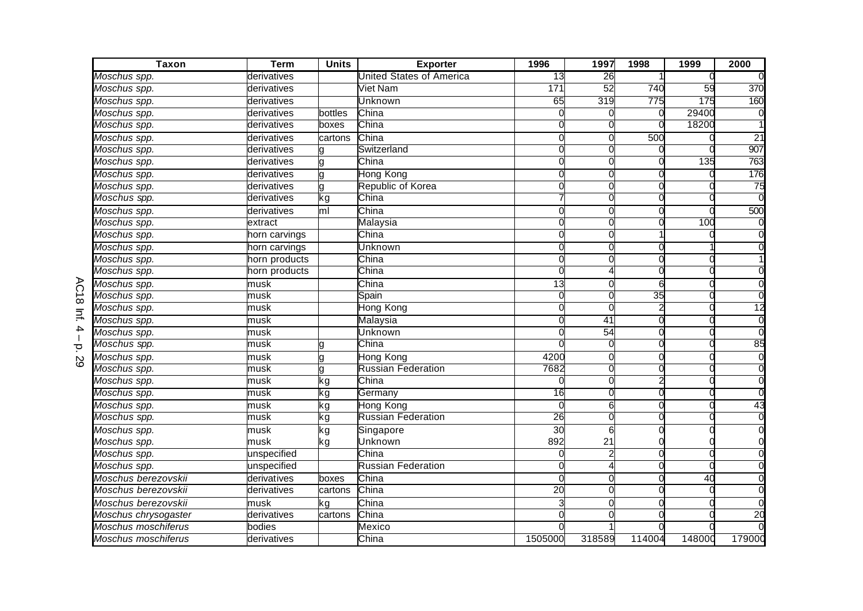| <b>Taxon</b>                        | <b>Term</b>   | <b>Units</b>   | <b>Exporter</b>           | 1996            | 1997                     | 1998   | 1999   | 2000            |
|-------------------------------------|---------------|----------------|---------------------------|-----------------|--------------------------|--------|--------|-----------------|
| Moschus spp.                        | derivatives   |                | United States of America  | 13              | 26                       |        |        |                 |
| Moschus spp.                        | derivatives   |                | Viet Nam                  | 171             | $\overline{52}$          | 740    | 59     | 370             |
| Moschus spp.                        | derivatives   |                | Unknown                   | 65              | 319                      | 775    | 175    | 160             |
| Moschus spp.                        | derivatives   | bottles        | China                     |                 | U                        | 0      | 29400  |                 |
| Moschus spp.                        | derivatives   | boxes          | China                     |                 | C                        |        | 18200  |                 |
| Moschus spp.                        | derivatives   | cartons        | China                     | U               | O                        | 500    |        | $\overline{21}$ |
| Moschus spp.                        | derivatives   |                | Switzerland               | O               | 0                        |        |        | 907             |
| $\overline{\mathit{M}}$ oschus spp. | derivatives   |                | China                     |                 | 0                        |        | 135    | 763             |
| Moschus spp.                        | derivatives   |                | Hong Kong                 |                 |                          |        |        | 176             |
| Moschus spp.                        | derivatives   |                | Republic of Korea         | U               | U                        | ∩      |        | 75              |
| Moschus spp.                        | derivatives   | ٢g             | China                     |                 | O                        | ∩      |        |                 |
| Moschus spp.                        | derivatives   | m <sub>l</sub> | China                     | $\Omega$        | $\Omega$                 | U      |        | 500             |
| Moschus spp.                        | extract       |                | Malaysia                  | 0               | O                        | U      | 100    |                 |
| $\overline{\mathit{M}}$ oschus spp. | horn carvings |                | China                     | 0               | 0                        |        |        |                 |
| Moschus spp.                        | horn carvings |                | Unknown                   | 0               | 0                        | 0      |        |                 |
| Moschus spp.                        | horn products |                | China                     | O               | O                        | O      |        |                 |
| Moschus spp.                        | horn products |                | China                     | O               |                          |        |        |                 |
| Moschus spp.                        | musk          |                | China                     | 13              | O                        | 6      |        |                 |
| Moschus spp.                        | musk          |                | Spain                     | 0               | O                        | 35     |        |                 |
| Moschus spp.                        | musk          |                | Hong Kong                 | ∩               | O                        |        |        | 12              |
| Moschus spp.                        | musk          |                | Malaysia                  |                 | 41                       | U      |        |                 |
| Moschus spp.                        | musk          |                | Unknown                   | O               | 54                       | 0      |        |                 |
| Moschus spp.                        | musk          |                | China                     |                 | $\Omega$                 |        |        | 85              |
| Moschus spp.                        | musk          |                | <b>Hong Kong</b>          | 4200            |                          |        |        |                 |
| Moschus spp.                        | musk          |                | <b>Russian Federation</b> | 7682            |                          |        |        |                 |
| Moschus spp.                        | musk          | kg             | China                     |                 | O                        |        |        |                 |
| Moschus spp.                        | musk          | kg             | Germany                   | $\overline{16}$ | O                        |        |        |                 |
| Moschus spp.                        | musk          | kg             | Hong Kong                 | $\Omega$        | 6                        | U      |        | 43              |
| Moschus spp.                        | musk          | ٢g             | <b>Russian Federation</b> | 26              | 0                        |        |        |                 |
| Moschus spp.                        | musk          | kg             | Singapore                 | 30              | 6                        |        |        |                 |
| Moschus spp.                        | musk          | kg             | Unknown                   | 892             | 21                       |        |        |                 |
| Moschus spp.                        | unspecified   |                | China                     | U               | $\overline{\mathcal{L}}$ | O      |        |                 |
| Moschus spp.                        | unspecified   |                | <b>Russian Federation</b> | O               |                          | O      |        |                 |
| Moschus berezovskii                 | derivatives   | boxes          | China                     | U               | O                        |        | 40     |                 |
| Moschus berezovskii                 | derivatives   | cartons        | China                     | 20              | O                        | ∩      |        |                 |
| Moschus berezovskii                 | musk          | ٢g             | China                     |                 | U                        | ∩      |        |                 |
| Moschus chrysogaster                | derivatives   | cartons        | China                     |                 | U                        | U      |        | $\overline{20}$ |
| Moschus moschiferus                 | bodies        |                | Mexico                    |                 |                          |        |        |                 |
| Moschus moschiferus                 | derivatives   |                | China                     | 1505000         | 318589                   | 114004 | 148000 | 179000          |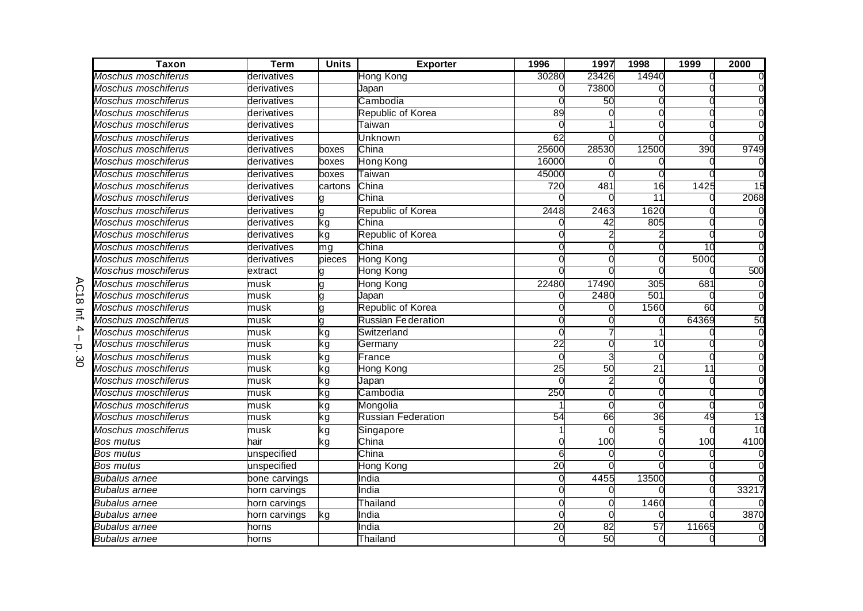| Taxon                      | <b>Term</b>   | <b>Units</b> | <b>Exporter</b>           | 1996            | 1997            | 1998            | 1999            | 2000          |
|----------------------------|---------------|--------------|---------------------------|-----------------|-----------------|-----------------|-----------------|---------------|
| Moschus moschiferus        | derivatives   |              | Hong Kong                 | 30280           | 23426           | 14940           |                 |               |
| Moschus moschiferus        | derivatives   |              | Japan                     | 0               | 73800           |                 |                 |               |
| Moschus moschiferus        | derivatives   |              | Cambodia                  |                 | 50              |                 |                 |               |
| Moschus moschiferus        | derivatives   |              | Republic of Korea         | 89              |                 |                 |                 |               |
| Moschus moschiferus        | derivatives   |              | Taiwan                    |                 |                 |                 |                 |               |
| Moschus moschiferus        | derivatives   |              | Jnknown                   | 62              |                 |                 |                 |               |
| Moschus moschiferus        | derivatives   | boxes        | China                     | 25600           | 28530           | 12500           | 390             | 9749          |
| Moschus moschiferus        | derivatives   | boxes        | Hong Kong                 | 16000           |                 |                 |                 |               |
| Moschus moschiferus        | derivatives   | boxes        | Taiwan                    | 45000           |                 |                 |                 |               |
| Moschus moschiferus        | derivatives   | cartons      | China                     | 720             | 481             | $\overline{16}$ | 1425            | $\frac{1}{5}$ |
| Moschus moschiferus        | derivatives   |              | China                     |                 |                 | 11              |                 | 2068          |
| Moschus moschiferus        | derivatives   | a            | Republic of Korea         | 2448            | 2463            | 1620            |                 |               |
| Moschus moschiferus        | derivatives   | kg           | China                     |                 | 42              | 805             |                 |               |
| Moschus moschiferus        | derivatives   | kg           | Republic of Korea         |                 |                 |                 |                 |               |
| Moschus moschiferus        | derivatives   | mg           | China                     | $\Omega$        |                 |                 | $\overline{10}$ |               |
| Moschus moschiferus        | derivatives   | pieces       | <b>Hong Kong</b>          |                 |                 |                 | 5000            |               |
| Moschus moschiferus        | extract       |              | Hong Kong                 |                 |                 |                 |                 | 500           |
| Moschus moschiferus        | musk          |              | <b>Hong Kong</b>          | 22480           | 17490           | 305             | 681             |               |
| Moschus moschiferus        | musk          | a            | Japan                     |                 | 2480            | 501             |                 |               |
| Moschus moschiferus        | musk          |              | Republic of Korea         |                 |                 | 1560            | 60              | $\Omega$      |
| Moschus moschiferus        | musk          |              | <b>Russian Federation</b> | O               |                 |                 | 64369           | 50            |
| Moschus moschiferus        | musk          | kg           | Switzerland               | $\mathbf{0}$    |                 |                 |                 |               |
| <b>Moschus moschiferus</b> | musk          | kg           | Germany                   | 22              |                 | 10              |                 |               |
| Moschus moschiferus        | musk          | kg           | France                    | $\Omega$        |                 |                 |                 |               |
| Moschus moschiferus        | musk          | kg           | Hong Kong                 | 25              | 50              | 21              | $\overline{11}$ |               |
| Moschus moschiferus        | musk          | kg           | Japan                     | $\Omega$        |                 |                 |                 |               |
| Moschus moschiferus        | musk          | kg           | Cambodia                  | 250             | ſ               |                 |                 |               |
| Moschus moschiferus        | musk          | kg           | Mongolia                  |                 | $\sqrt{ }$      |                 | ſ               |               |
| Moschus moschiferus        | musk          | kg           | <b>Russian Federation</b> | 54              | 66              | 36              | 49              | 13            |
| Moschus moschiferus        | musk          | kg           | Singapore                 |                 |                 |                 |                 | 10            |
| Bos mutus                  | hair          | kg           | China                     |                 | 100             |                 | 100             | 4100          |
| <b>Bos mutus</b>           | unspecified   |              | China                     | 6               |                 |                 |                 |               |
| <b>Bos mutus</b>           | unspecified   |              | Hong Kong                 | $\overline{20}$ |                 |                 |                 |               |
| <b>Bubalus arnee</b>       | bone carvings |              | India                     | $\Omega$        | 4455            | 13500           |                 |               |
| Bubalus arnee              | horn carvings |              | India                     | $\Omega$        | C               |                 | C               | 33217         |
| <b>Bubalus arnee</b>       | horn carvings |              | Thailand                  | $\Omega$        | C               | 1460            |                 |               |
| <b>Bubalus arnee</b>       | horn carvings | kg           | India                     | $\Omega$        |                 |                 |                 | 3870          |
| Bubalus arnee              | horns         |              | India                     | $\overline{20}$ | $\overline{82}$ | $\overline{57}$ | 11665           |               |
| Bubalus arnee              | horns         |              | Thailand                  | $\overline{0}$  | 50              | C               |                 |               |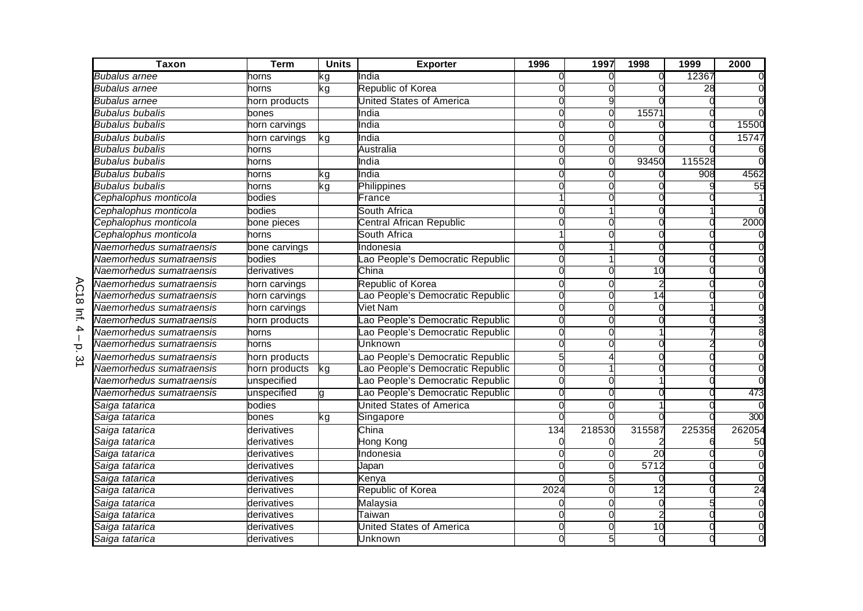|                | <b>Taxon</b>             | <b>Term</b>   | <b>Units</b> | <b>Exporter</b>                 | 1996           | 1997   | 1998            | 1999   | 2000   |
|----------------|--------------------------|---------------|--------------|---------------------------------|----------------|--------|-----------------|--------|--------|
|                | Bubalus arnee            | horns         | kg           | India                           |                |        | 0               | 12367  |        |
|                | Bubalus arnee            | horns         | kg           | Republic of Korea               | U              |        |                 | 28     |        |
|                | Bubalus arnee            | horn products |              | <b>United States of America</b> |                |        |                 |        |        |
|                | <b>Bubalus bubalis</b>   | bones         |              | India                           | <sup>o</sup>   |        | 15571           |        |        |
|                | Bubalus bubalis          | horn carvings |              | India                           | റ              |        |                 |        | 15500  |
|                | <b>Bubalus bubalis</b>   | horn carvings | kg           | India                           |                |        |                 |        | 15747  |
|                | Bubalus bubalis          | horns         |              | Australia                       | <sup>o</sup>   |        |                 |        |        |
|                | Bubalus bubalis          | าorns         |              | India                           | $\Omega$       |        | 93450           | 115528 |        |
|                | <b>Bubalus bubalis</b>   | horns         | kg           | India                           |                |        |                 | 908    | 4562   |
|                | <b>Bubalus bubalis</b>   | horns         | ٢ğ           | Philippines                     |                |        |                 |        | 55     |
|                | Cephalophus monticola    | bodies        |              | France                          |                |        |                 |        |        |
|                | Cephalophus monticola    | bodies        |              | South Africa                    | $\Omega$       |        |                 |        |        |
|                | Cephalophus monticola    | bone pieces   |              | Central African Republic        | റ              |        |                 |        | 2000   |
|                | Cephalophus monticola    | horns         |              | South Africa                    |                |        |                 |        |        |
|                | Naemorhedus sumatraensis | bone carvings |              | Indonesia                       | 0              |        |                 |        |        |
|                | Naemorhedus sumatraensis | bodies        |              | ao People's Democratic Republic | $\Omega$       |        | 0               |        |        |
|                | Naemorhedus sumatraensis | derivatives   |              | China                           | U              |        | $\overline{10}$ |        |        |
|                | Naemorhedus sumatraensis | horn carvings |              | Republic of Korea               | 0              |        |                 |        |        |
| $\vec{\infty}$ | Naemorhedus sumatraensis | horn carvings |              | ao People's Democratic Republic | $\overline{0}$ |        | $\overline{14}$ |        |        |
| $\equiv$       | Naemorhedus sumatraensis | horn carvings |              | Viet Nam                        | $\Omega$       |        |                 |        |        |
|                | Naemorhedus sumatraensis | horn products |              | ao People's Democratic Republic | 0              |        |                 |        |        |
| 4              | Naemorhedus sumatraensis | horns         |              | ao People's Democratic Republic | $\Omega$       |        |                 |        |        |
| Ō              | Naemorhedus sumatraensis | horns         |              | Unknown                         | $\Omega$       |        |                 |        |        |
| ω              | Naemorhedus sumatraensis | horn products |              | ao People's Democratic Republic |                |        |                 |        |        |
|                | Naemorhedus sumatraensis | horn products | kg           | ao People's Democratic Republic |                |        |                 |        |        |
|                | Naemorhedus sumatraensis | unspecified   |              | ao People's Democratic Republic | $\Omega$       |        |                 |        |        |
|                | Naemorhedus sumatraensis | unspecified   | u            | ao People's Democratic Republic | $\Omega$       |        |                 |        | 473    |
|                | Saiga tatarica           | bodies        |              | <b>United States of America</b> | O              |        |                 |        |        |
|                | Saiga tatarica           | bones         | kg           | Singapore                       | <sup>o</sup>   |        |                 |        | 300    |
|                | Saiga tatarica           | derivatives   |              | China                           | 134            | 218530 | 315587          | 225358 | 262054 |
|                | Saiga tatarica           | derivatives   |              | Hong Kong                       | 0              |        |                 |        | 50     |
|                | Saiga tatarica           | derivatives   |              | <b>Indonesia</b>                |                |        | 20              |        |        |
|                | Saiga tatarica           | derivatives   |              | Japan                           |                |        | 5712            |        |        |
|                | Saiga tatarica           | derivatives   |              | Kenya                           |                |        |                 |        |        |
|                | Saiga tatarica           | derivatives   |              | Republic of Korea               | 2024           |        | 12              |        | 24     |
|                | Saiga tatarica           | derivatives   |              | Malaysia                        | ∩              |        |                 |        |        |
|                | Saiga tatarica           | derivatives   |              | Taiwan                          | $\Omega$       |        |                 |        |        |
|                | Saiga tatarica           | derivatives   |              | United States of America        | $\Omega$       |        | 10              |        |        |
|                | Saiga tatarica           | derivatives   |              | Unknown                         |                |        |                 |        |        |